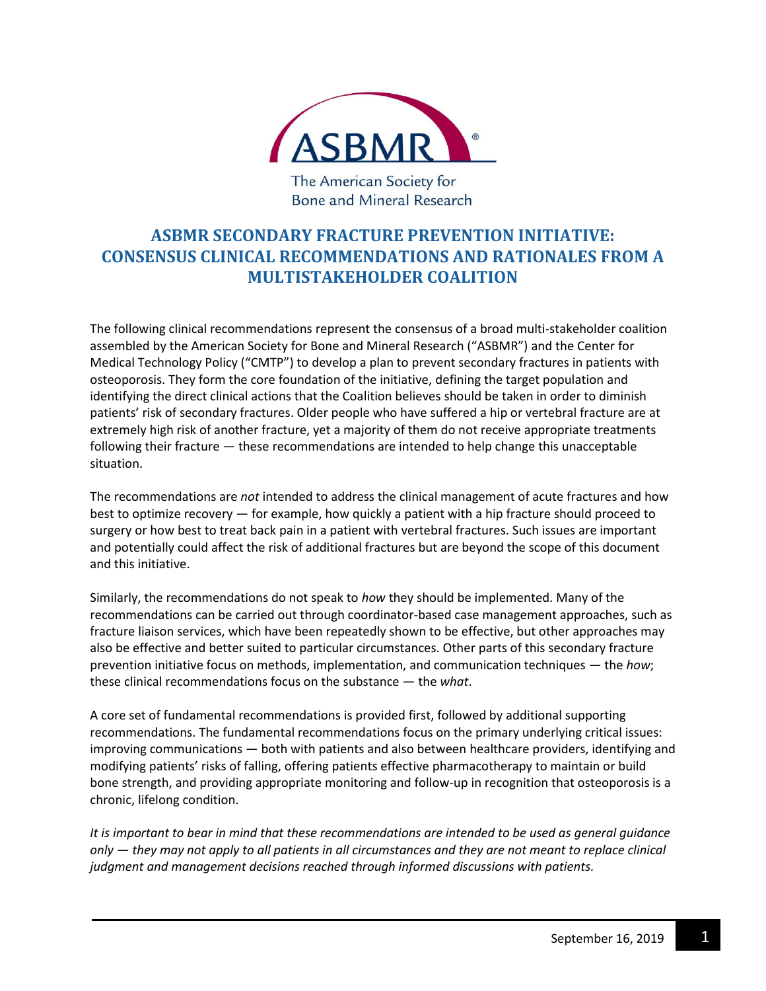

The American Society for Bone and Mineral Research

## **ASBMR SECONDARY FRACTURE PREVENTION INITIATIVE: CONSENSUS CLINICAL RECOMMENDATIONS AND RATIONALES FROM A MULTISTAKEHOLDER COALITION**

The following clinical recommendations represent the consensus of a broad multi-stakeholder coalition assembled by the American Society for Bone and Mineral Research ("ASBMR") and the Center for Medical Technology Policy ("CMTP") to develop a plan to prevent secondary fractures in patients with osteoporosis. They form the core foundation of the initiative, defining the target population and identifying the direct clinical actions that the Coalition believes should be taken in order to diminish patients' risk of secondary fractures. Older people who have suffered a hip or vertebral fracture are at extremely high risk of another fracture, yet a majority of them do not receive appropriate treatments following their fracture — these recommendations are intended to help change this unacceptable situation.

The recommendations are *not* intended to address the clinical management of acute fractures and how best to optimize recovery — for example, how quickly a patient with a hip fracture should proceed to surgery or how best to treat back pain in a patient with vertebral fractures. Such issues are important and potentially could affect the risk of additional fractures but are beyond the scope of this document and this initiative.

Similarly, the recommendations do not speak to *how* they should be implemented. Many of the recommendations can be carried out through coordinator-based case management approaches, such as fracture liaison services, which have been repeatedly shown to be effective, but other approaches may also be effective and better suited to particular circumstances. Other parts of this secondary fracture prevention initiative focus on methods, implementation, and communication techniques — the *how*; these clinical recommendations focus on the substance — the *what*.

A core set of fundamental recommendations is provided first, followed by additional supporting recommendations. The fundamental recommendations focus on the primary underlying critical issues: improving communications — both with patients and also between healthcare providers, identifying and modifying patients' risks of falling, offering patients effective pharmacotherapy to maintain or build bone strength, and providing appropriate monitoring and follow-up in recognition that osteoporosis is a chronic, lifelong condition.

*It is important to bear in mind that these recommendations are intended to be used as general guidance only — they may not apply to all patients in all circumstances and they are not meant to replace clinical judgment and management decisions reached through informed discussions with patients.*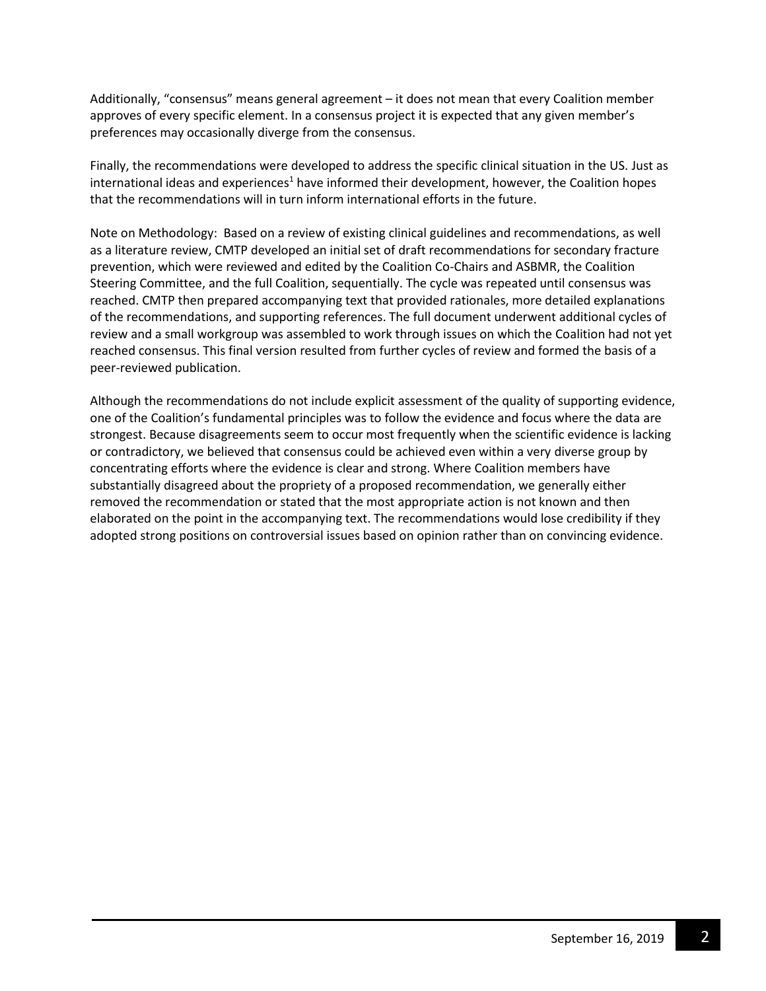Additionally, "consensus" means general agreement – it does not mean that every Coalition member approves of every specific element. In a consensus project it is expected that any given member's preferences may occasionally diverge from the consensus.

Finally, the recommendations were developed to address the specific clinical situation in the US. Just as  $intermational$  ideas and experiences<sup>1</sup> have informed their development, however, the Coalition hopes that the recommendations will in turn inform international efforts in the future.

Note on Methodology: Based on a review of existing clinical guidelines and recommendations, as well as a literature review, CMTP developed an initial set of draft recommendations for secondary fracture prevention, which were reviewed and edited by the Coalition Co-Chairs and ASBMR, the Coalition Steering Committee, and the full Coalition, sequentially. The cycle was repeated until consensus was reached. CMTP then prepared accompanying text that provided rationales, more detailed explanations of the recommendations, and supporting references. The full document underwent additional cycles of review and a small workgroup was assembled to work through issues on which the Coalition had not yet reached consensus. This final version resulted from further cycles of review and formed the basis of a peer-reviewed publication.

Although the recommendations do not include explicit assessment of the quality of supporting evidence, one of the Coalition's fundamental principles was to follow the evidence and focus where the data are strongest. Because disagreements seem to occur most frequently when the scientific evidence is lacking or contradictory, we believed that consensus could be achieved even within a very diverse group by concentrating efforts where the evidence is clear and strong. Where Coalition members have substantially disagreed about the propriety of a proposed recommendation, we generally either removed the recommendation or stated that the most appropriate action is not known and then elaborated on the point in the accompanying text. The recommendations would lose credibility if they adopted strong positions on controversial issues based on opinion rather than on convincing evidence.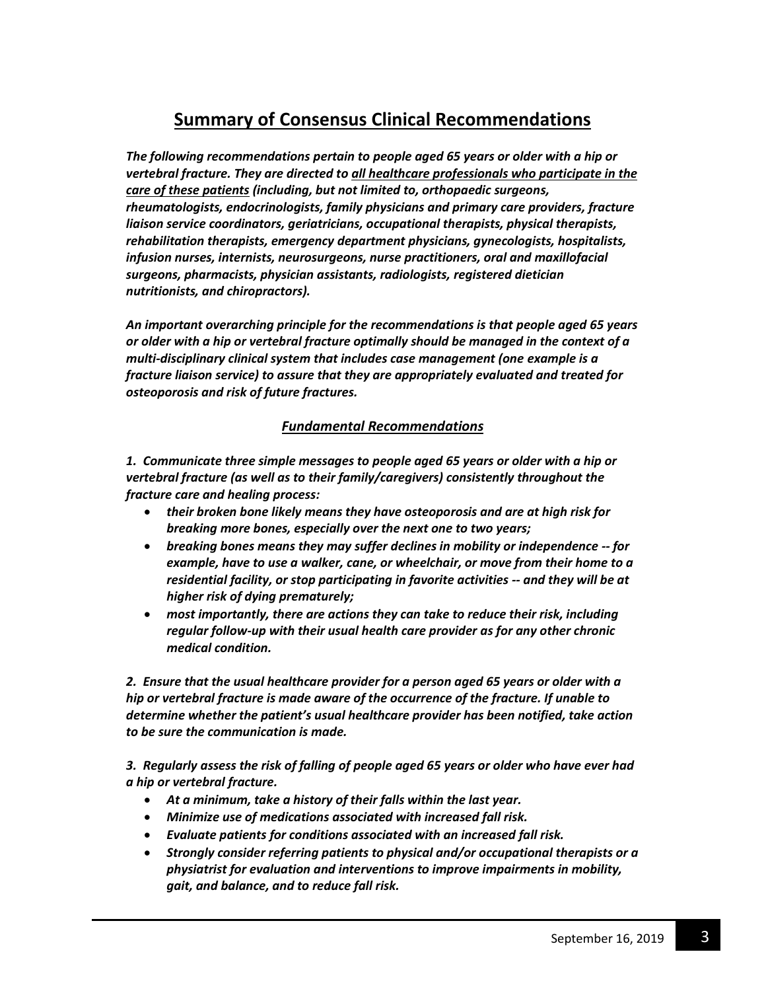# **Summary of Consensus Clinical Recommendations**

*The following recommendations pertain to people aged 65 years or older with a hip or vertebral fracture. They are directed to all healthcare professionals who participate in the care of these patients (including, but not limited to, orthopaedic surgeons, rheumatologists, endocrinologists, family physicians and primary care providers, fracture liaison service coordinators, geriatricians, occupational therapists, physical therapists, rehabilitation therapists, emergency department physicians, gynecologists, hospitalists, infusion nurses, internists, neurosurgeons, nurse practitioners, oral and maxillofacial surgeons, pharmacists, physician assistants, radiologists, registered dietician nutritionists, and chiropractors).*

*An important overarching principle for the recommendations is that people aged 65 years or older with a hip or vertebral fracture optimally should be managed in the context of a multi-disciplinary clinical system that includes case management (one example is a fracture liaison service) to assure that they are appropriately evaluated and treated for osteoporosis and risk of future fractures.*

## *Fundamental Recommendations*

*1. Communicate three simple messages to people aged 65 years or older with a hip or vertebral fracture (as well as to their family/caregivers) consistently throughout the fracture care and healing process:* 

- *their broken bone likely means they have osteoporosis and are at high risk for breaking more bones, especially over the next one to two years;*
- *breaking bones means they may suffer declines in mobility or independence -- for example, have to use a walker, cane, or wheelchair, or move from their home to a residential facility, or stop participating in favorite activities -- and they will be at higher risk of dying prematurely;*
- *most importantly, there are actions they can take to reduce their risk, including regular follow-up with their usual health care provider as for any other chronic medical condition.*

*2. Ensure that the usual healthcare provider for a person aged 65 years or older with a hip or vertebral fracture is made aware of the occurrence of the fracture. If unable to determine whether the patient's usual healthcare provider has been notified, take action to be sure the communication is made.*

*3. Regularly assess the risk of falling of people aged 65 years or older who have ever had a hip or vertebral fracture.*

- *At a minimum, take a history of their falls within the last year.*
- *Minimize use of medications associated with increased fall risk.*
- *Evaluate patients for conditions associated with an increased fall risk.*
- *Strongly consider referring patients to physical and/or occupational therapists or a physiatrist for evaluation and interventions to improve impairments in mobility, gait, and balance, and to reduce fall risk.*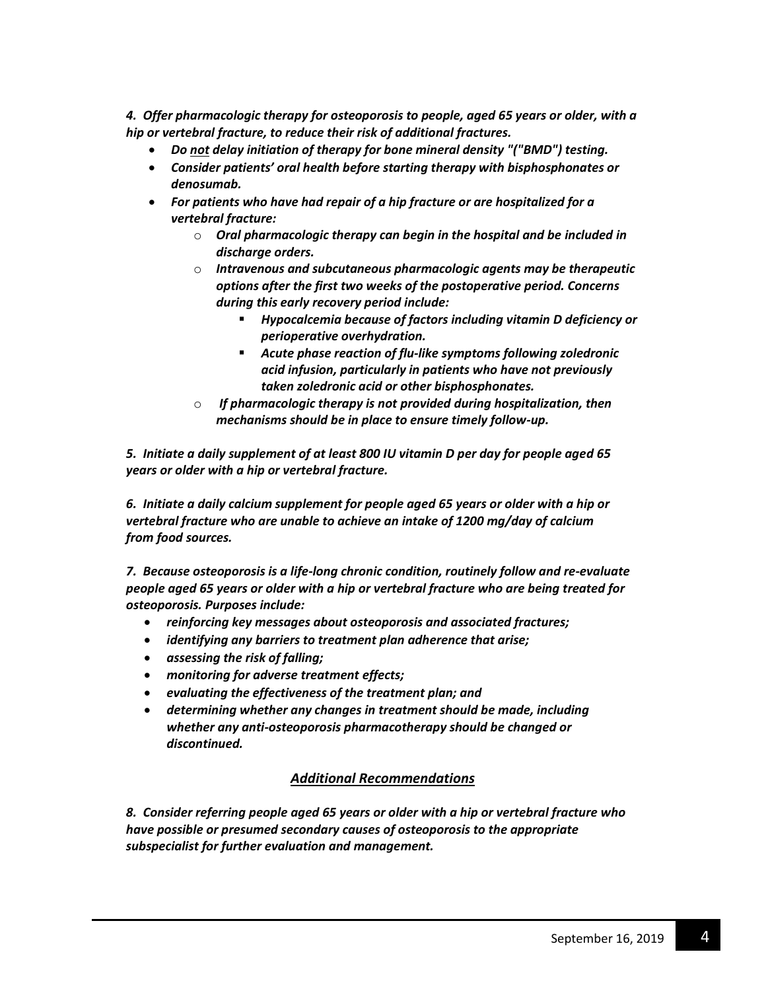*4. Offer pharmacologic therapy for osteoporosis to people, aged 65 years or older, with a hip or vertebral fracture, to reduce their risk of additional fractures.* 

- *Do not delay initiation of therapy for bone mineral density "("BMD") testing.*
- *Consider patients' oral health before starting therapy with bisphosphonates or denosumab.*
- *For patients who have had repair of a hip fracture or are hospitalized for a vertebral fracture:*
	- o *Oral pharmacologic therapy can begin in the hospital and be included in discharge orders.*
	- o *Intravenous and subcutaneous pharmacologic agents may be therapeutic options after the first two weeks of the postoperative period. Concerns during this early recovery period include:*
		- *Hypocalcemia because of factors including vitamin D deficiency or perioperative overhydration.*
		- *Acute phase reaction of flu-like symptoms following zoledronic acid infusion, particularly in patients who have not previously taken zoledronic acid or other bisphosphonates.*
	- o *If pharmacologic therapy is not provided during hospitalization, then mechanisms should be in place to ensure timely follow-up.*

*5. Initiate a daily supplement of at least 800 IU vitamin D per day for people aged 65 years or older with a hip or vertebral fracture.* 

*6. Initiate a daily calcium supplement for people aged 65 years or older with a hip or vertebral fracture who are unable to achieve an intake of 1200 mg/day of calcium from food sources.*

*7. Because osteoporosis is a life-long chronic condition, routinely follow and re-evaluate people aged 65 years or older with a hip or vertebral fracture who are being treated for osteoporosis. Purposes include:*

- *reinforcing key messages about osteoporosis and associated fractures;*
- *identifying any barriers to treatment plan adherence that arise;*
- *assessing the risk of falling;*
- *monitoring for adverse treatment effects;*
- *evaluating the effectiveness of the treatment plan; and*
- *determining whether any changes in treatment should be made, including whether any anti-osteoporosis pharmacotherapy should be changed or discontinued.*

## *Additional Recommendations*

*8. Consider referring people aged 65 years or older with a hip or vertebral fracture who have possible or presumed secondary causes of osteoporosis to the appropriate subspecialist for further evaluation and management.*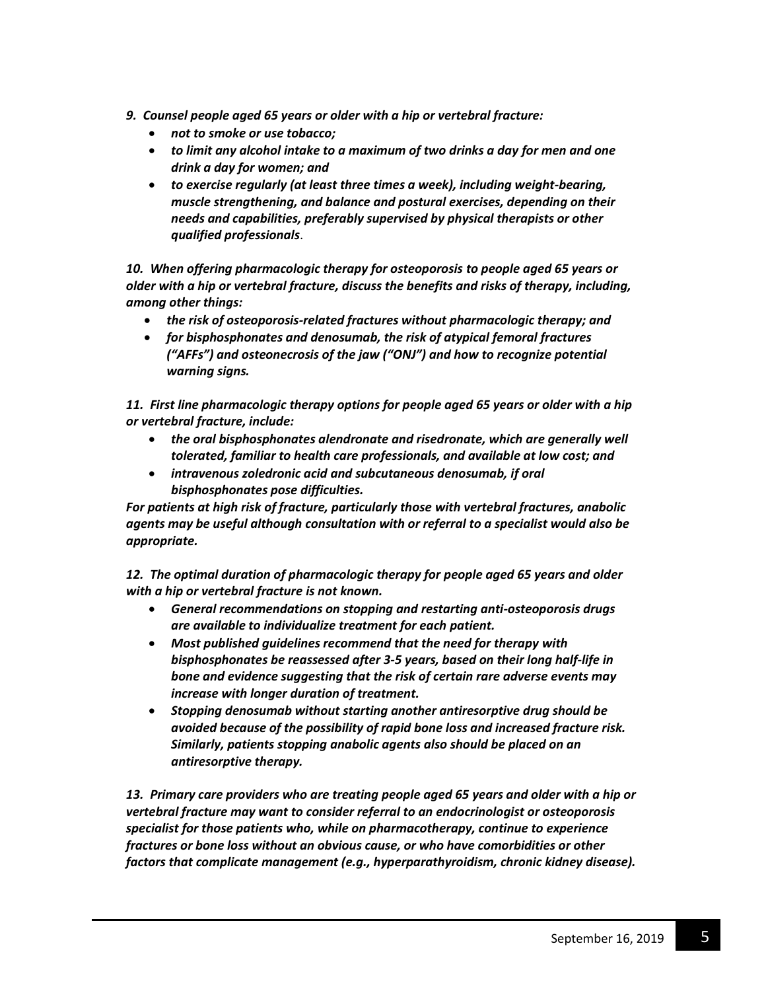- *9. Counsel people aged 65 years or older with a hip or vertebral fracture:*
	- *not to smoke or use tobacco;*
	- *to limit any alcohol intake to a maximum of two drinks a day for men and one drink a day for women; and*
	- *to exercise regularly (at least three times a week), including weight-bearing, muscle strengthening, and balance and postural exercises, depending on their needs and capabilities, preferably supervised by physical therapists or other qualified professionals*.

*10. When offering pharmacologic therapy for osteoporosis to people aged 65 years or older with a hip or vertebral fracture, discuss the benefits and risks of therapy, including, among other things:*

- *the risk of osteoporosis-related fractures without pharmacologic therapy; and*
- *for bisphosphonates and denosumab, the risk of atypical femoral fractures ("AFFs") and osteonecrosis of the jaw ("ONJ") and how to recognize potential warning signs.*

*11. First line pharmacologic therapy options for people aged 65 years or older with a hip or vertebral fracture, include:*

- *the oral bisphosphonates alendronate and risedronate, which are generally well tolerated, familiar to health care professionals, and available at low cost; and*
- *intravenous zoledronic acid and subcutaneous denosumab, if oral bisphosphonates pose difficulties.*

*For patients at high risk of fracture, particularly those with vertebral fractures, anabolic agents may be useful although consultation with or referral to a specialist would also be appropriate.*

*12. The optimal duration of pharmacologic therapy for people aged 65 years and older with a hip or vertebral fracture is not known.*

- *General recommendations on stopping and restarting anti-osteoporosis drugs are available to individualize treatment for each patient.*
- *Most published guidelines recommend that the need for therapy with bisphosphonates be reassessed after 3-5 years, based on their long half-life in bone and evidence suggesting that the risk of certain rare adverse events may increase with longer duration of treatment.*
- *Stopping denosumab without starting another antiresorptive drug should be avoided because of the possibility of rapid bone loss and increased fracture risk. Similarly, patients stopping anabolic agents also should be placed on an antiresorptive therapy.*

*13. Primary care providers who are treating people aged 65 years and older with a hip or vertebral fracture may want to consider referral to an endocrinologist or osteoporosis specialist for those patients who, while on pharmacotherapy, continue to experience fractures or bone loss without an obvious cause, or who have comorbidities or other factors that complicate management (e.g., hyperparathyroidism, chronic kidney disease).*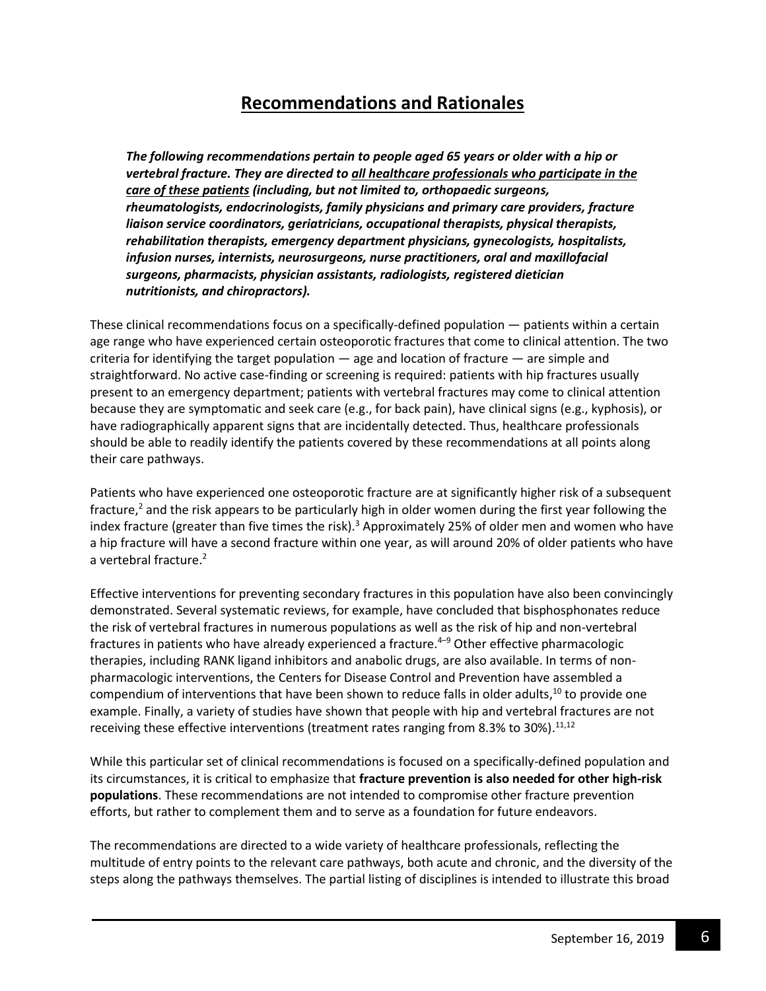# **Recommendations and Rationales**

*The following recommendations pertain to people aged 65 years or older with a hip or vertebral fracture. They are directed to all healthcare professionals who participate in the care of these patients (including, but not limited to, orthopaedic surgeons, rheumatologists, endocrinologists, family physicians and primary care providers, fracture liaison service coordinators, geriatricians, occupational therapists, physical therapists, rehabilitation therapists, emergency department physicians, gynecologists, hospitalists, infusion nurses, internists, neurosurgeons, nurse practitioners, oral and maxillofacial surgeons, pharmacists, physician assistants, radiologists, registered dietician nutritionists, and chiropractors).*

These clinical recommendations focus on a specifically-defined population — patients within a certain age range who have experienced certain osteoporotic fractures that come to clinical attention. The two criteria for identifying the target population  $-$  age and location of fracture  $-$  are simple and straightforward. No active case-finding or screening is required: patients with hip fractures usually present to an emergency department; patients with vertebral fractures may come to clinical attention because they are symptomatic and seek care (e.g., for back pain), have clinical signs (e.g., kyphosis), or have radiographically apparent signs that are incidentally detected. Thus, healthcare professionals should be able to readily identify the patients covered by these recommendations at all points along their care pathways.

Patients who have experienced one osteoporotic fracture are at significantly higher risk of a subsequent fracture,<sup>2</sup> and the risk appears to be particularly high in older women during the first year following the index fracture (greater than five times the risk).<sup>3</sup> Approximately 25% of older men and women who have a hip fracture will have a second fracture within one year, as will around 20% of older patients who have a vertebral fracture.<sup>2</sup>

Effective interventions for preventing secondary fractures in this population have also been convincingly demonstrated. Several systematic reviews, for example, have concluded that bisphosphonates reduce the risk of vertebral fractures in numerous populations as well as the risk of hip and non-vertebral fractures in patients who have already experienced a fracture.<sup>4–9</sup> Other effective pharmacologic therapies, including RANK ligand inhibitors and anabolic drugs, are also available. In terms of nonpharmacologic interventions, the Centers for Disease Control and Prevention have assembled a compendium of interventions that have been shown to reduce falls in older adults,<sup>10</sup> to provide one example. Finally, a variety of studies have shown that people with hip and vertebral fractures are not receiving these effective interventions (treatment rates ranging from 8.3% to 30%).<sup>11,12</sup>

While this particular set of clinical recommendations is focused on a specifically-defined population and its circumstances, it is critical to emphasize that **fracture prevention is also needed for other high-risk populations**. These recommendations are not intended to compromise other fracture prevention efforts, but rather to complement them and to serve as a foundation for future endeavors.

The recommendations are directed to a wide variety of healthcare professionals, reflecting the multitude of entry points to the relevant care pathways, both acute and chronic, and the diversity of the steps along the pathways themselves. The partial listing of disciplines is intended to illustrate this broad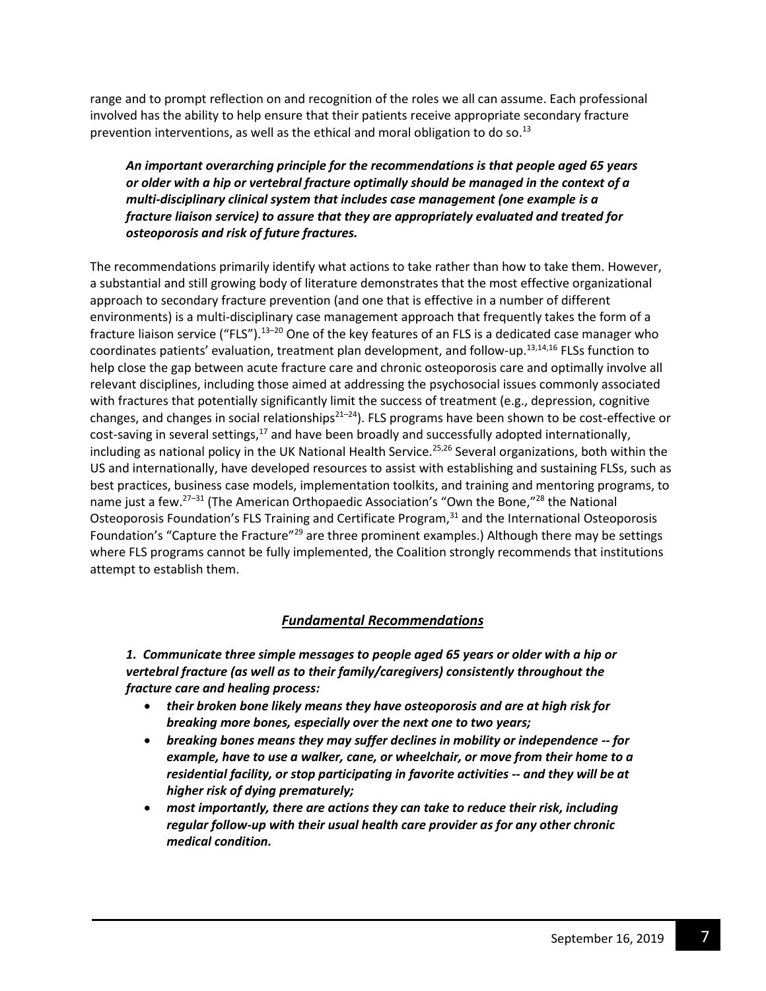range and to prompt reflection on and recognition of the roles we all can assume. Each professional involved has the ability to help ensure that their patients receive appropriate secondary fracture prevention interventions, as well as the ethical and moral obligation to do so.<sup>13</sup>

*An important overarching principle for the recommendations is that people aged 65 years or older with a hip or vertebral fracture optimally should be managed in the context of a multi-disciplinary clinical system that includes case management (one example is a fracture liaison service) to assure that they are appropriately evaluated and treated for osteoporosis and risk of future fractures.*

The recommendations primarily identify what actions to take rather than how to take them. However, a substantial and still growing body of literature demonstrates that the most effective organizational approach to secondary fracture prevention (and one that is effective in a number of different environments) is a multi-disciplinary case management approach that frequently takes the form of a fracture liaison service ("FLS").<sup>13-20</sup> One of the key features of an FLS is a dedicated case manager who coordinates patients' evaluation, treatment plan development, and follow-up.13,14,16 FLSs function to help close the gap between acute fracture care and chronic osteoporosis care and optimally involve all relevant disciplines, including those aimed at addressing the psychosocial issues commonly associated with fractures that potentially significantly limit the success of treatment (e.g., depression, cognitive changes, and changes in social relationships<sup>21-24</sup>). FLS programs have been shown to be cost-effective or cost-saving in several settings, $17$  and have been broadly and successfully adopted internationally, including as national policy in the UK National Health Service.<sup>25,26</sup> Several organizations, both within the US and internationally, have developed resources to assist with establishing and sustaining FLSs, such as best practices, business case models, implementation toolkits, and training and mentoring programs, to name just a few.<sup>27–31</sup> (The American Orthopaedic Association's "Own the Bone,"<sup>28</sup> the National Osteoporosis Foundation's FLS Training and Certificate Program,<sup>31</sup> and the International Osteoporosis Foundation's "Capture the Fracture"<sup>29</sup> are three prominent examples.) Although there may be settings where FLS programs cannot be fully implemented, the Coalition strongly recommends that institutions attempt to establish them.

### *Fundamental Recommendations*

*1. Communicate three simple messages to people aged 65 years or older with a hip or vertebral fracture (as well as to their family/caregivers) consistently throughout the fracture care and healing process:* 

- *their broken bone likely means they have osteoporosis and are at high risk for breaking more bones, especially over the next one to two years;*
- *breaking bones means they may suffer declines in mobility or independence -- for example, have to use a walker, cane, or wheelchair, or move from their home to a residential facility, or stop participating in favorite activities -- and they will be at higher risk of dying prematurely;*
- *most importantly, there are actions they can take to reduce their risk, including regular follow-up with their usual health care provider as for any other chronic medical condition.*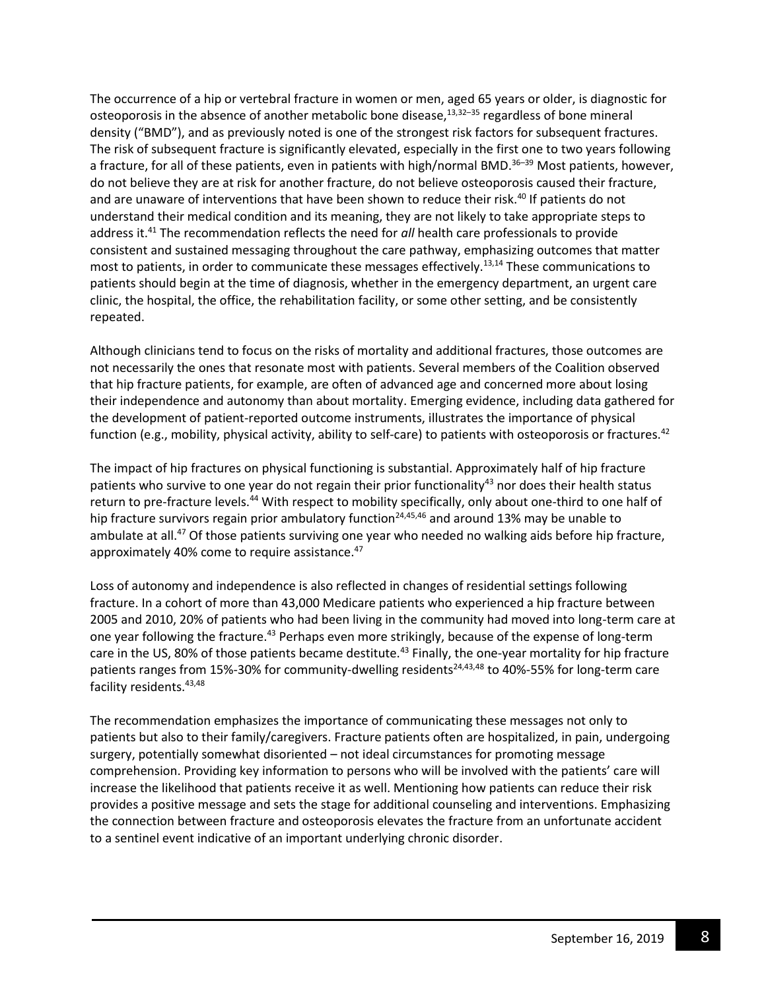The occurrence of a hip or vertebral fracture in women or men, aged 65 years or older, is diagnostic for osteoporosis in the absence of another metabolic bone disease, $13,32-35$  regardless of bone mineral density ("BMD"), and as previously noted is one of the strongest risk factors for subsequent fractures. The risk of subsequent fracture is significantly elevated, especially in the first one to two years following a fracture, for all of these patients, even in patients with high/normal BMD.<sup>36–39</sup> Most patients, however, do not believe they are at risk for another fracture, do not believe osteoporosis caused their fracture, and are unaware of interventions that have been shown to reduce their risk.<sup>40</sup> If patients do not understand their medical condition and its meaning, they are not likely to take appropriate steps to address it.<sup>41</sup> The recommendation reflects the need for *all* health care professionals to provide consistent and sustained messaging throughout the care pathway, emphasizing outcomes that matter most to patients, in order to communicate these messages effectively.<sup>13,14</sup> These communications to patients should begin at the time of diagnosis, whether in the emergency department, an urgent care clinic, the hospital, the office, the rehabilitation facility, or some other setting, and be consistently repeated.

Although clinicians tend to focus on the risks of mortality and additional fractures, those outcomes are not necessarily the ones that resonate most with patients. Several members of the Coalition observed that hip fracture patients, for example, are often of advanced age and concerned more about losing their independence and autonomy than about mortality. Emerging evidence, including data gathered for the development of patient-reported outcome instruments, illustrates the importance of physical function (e.g., mobility, physical activity, ability to self-care) to patients with osteoporosis or fractures.<sup>42</sup>

The impact of hip fractures on physical functioning is substantial. Approximately half of hip fracture patients who survive to one year do not regain their prior functionality<sup>43</sup> nor does their health status return to pre-fracture levels.<sup>44</sup> With respect to mobility specifically, only about one-third to one half of hip fracture survivors regain prior ambulatory function<sup>24,45,46</sup> and around 13% may be unable to ambulate at all.<sup>47</sup> Of those patients surviving one year who needed no walking aids before hip fracture, approximately 40% come to require assistance.<sup>47</sup>

Loss of autonomy and independence is also reflected in changes of residential settings following fracture. In a cohort of more than 43,000 Medicare patients who experienced a hip fracture between 2005 and 2010, 20% of patients who had been living in the community had moved into long-term care at one year following the fracture.<sup>43</sup> Perhaps even more strikingly, because of the expense of long-term care in the US, 80% of those patients became destitute.<sup>43</sup> Finally, the one-year mortality for hip fracture patients ranges from 15%-30% for community-dwelling residents<sup>24,43,48</sup> to 40%-55% for long-term care facility residents. 43,48

The recommendation emphasizes the importance of communicating these messages not only to patients but also to their family/caregivers. Fracture patients often are hospitalized, in pain, undergoing surgery, potentially somewhat disoriented – not ideal circumstances for promoting message comprehension. Providing key information to persons who will be involved with the patients' care will increase the likelihood that patients receive it as well. Mentioning how patients can reduce their risk provides a positive message and sets the stage for additional counseling and interventions. Emphasizing the connection between fracture and osteoporosis elevates the fracture from an unfortunate accident to a sentinel event indicative of an important underlying chronic disorder.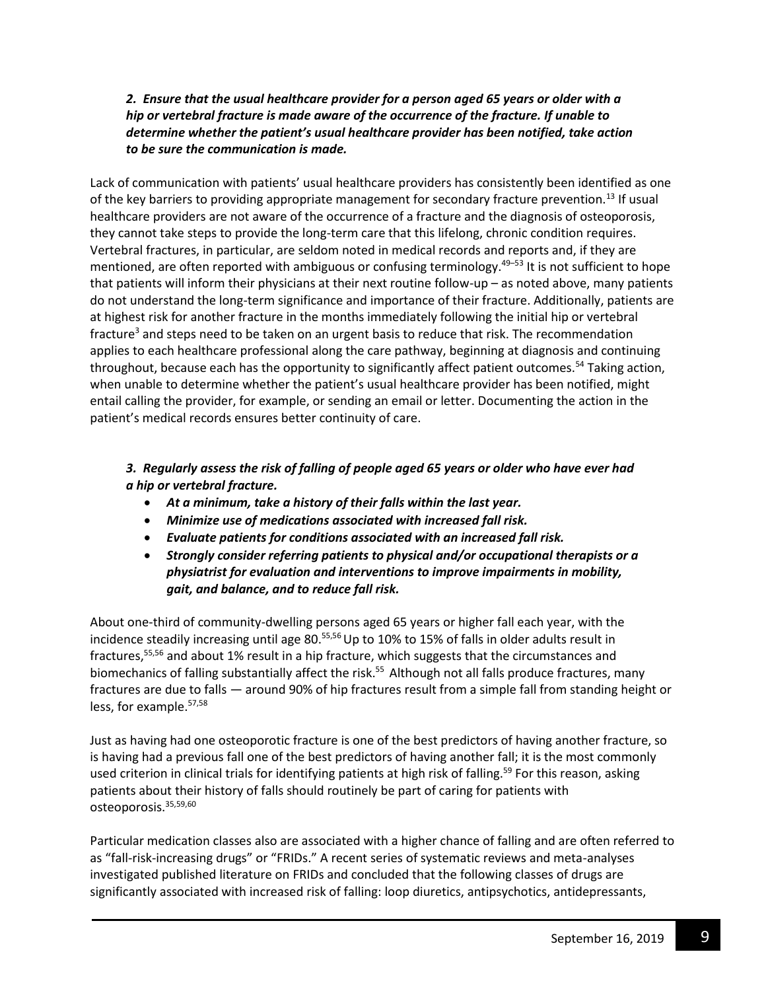## *2. Ensure that the usual healthcare provider for a person aged 65 years or older with a hip or vertebral fracture is made aware of the occurrence of the fracture. If unable to determine whether the patient's usual healthcare provider has been notified, take action to be sure the communication is made.*

Lack of communication with patients' usual healthcare providers has consistently been identified as one of the key barriers to providing appropriate management for secondary fracture prevention.<sup>13</sup> If usual healthcare providers are not aware of the occurrence of a fracture and the diagnosis of osteoporosis, they cannot take steps to provide the long-term care that this lifelong, chronic condition requires. Vertebral fractures, in particular, are seldom noted in medical records and reports and, if they are mentioned, are often reported with ambiguous or confusing terminology.<sup>49-53</sup> It is not sufficient to hope that patients will inform their physicians at their next routine follow-up – as noted above, many patients do not understand the long-term significance and importance of their fracture. Additionally, patients are at highest risk for another fracture in the months immediately following the initial hip or vertebral fracture<sup>3</sup> and steps need to be taken on an urgent basis to reduce that risk. The recommendation applies to each healthcare professional along the care pathway, beginning at diagnosis and continuing throughout, because each has the opportunity to significantly affect patient outcomes.<sup>54</sup> Taking action, when unable to determine whether the patient's usual healthcare provider has been notified, might entail calling the provider, for example, or sending an email or letter. Documenting the action in the patient's medical records ensures better continuity of care.

## *3. Regularly assess the risk of falling of people aged 65 years or older who have ever had a hip or vertebral fracture.*

- *At a minimum, take a history of their falls within the last year.*
- *Minimize use of medications associated with increased fall risk.*
- *Evaluate patients for conditions associated with an increased fall risk.*
- *Strongly consider referring patients to physical and/or occupational therapists or a physiatrist for evaluation and interventions to improve impairments in mobility, gait, and balance, and to reduce fall risk.*

About one-third of community-dwelling persons aged 65 years or higher fall each year, with the incidence steadily increasing until age 80.<sup>55,56</sup> Up to 10% to 15% of falls in older adults result in fractures,<sup>55,56</sup> and about 1% result in a hip fracture, which suggests that the circumstances and biomechanics of falling substantially affect the risk.<sup>55</sup> Although not all falls produce fractures, many fractures are due to falls — around 90% of hip fractures result from a simple fall from standing height or less, for example.57,58

Just as having had one osteoporotic fracture is one of the best predictors of having another fracture, so is having had a previous fall one of the best predictors of having another fall; it is the most commonly used criterion in clinical trials for identifying patients at high risk of falling.<sup>59</sup> For this reason, asking patients about their history of falls should routinely be part of caring for patients with osteoporosis.35,59,60

Particular medication classes also are associated with a higher chance of falling and are often referred to as "fall-risk-increasing drugs" or "FRIDs." A recent series of systematic reviews and meta-analyses investigated published literature on FRIDs and concluded that the following classes of drugs are significantly associated with increased risk of falling: loop diuretics, antipsychotics, antidepressants,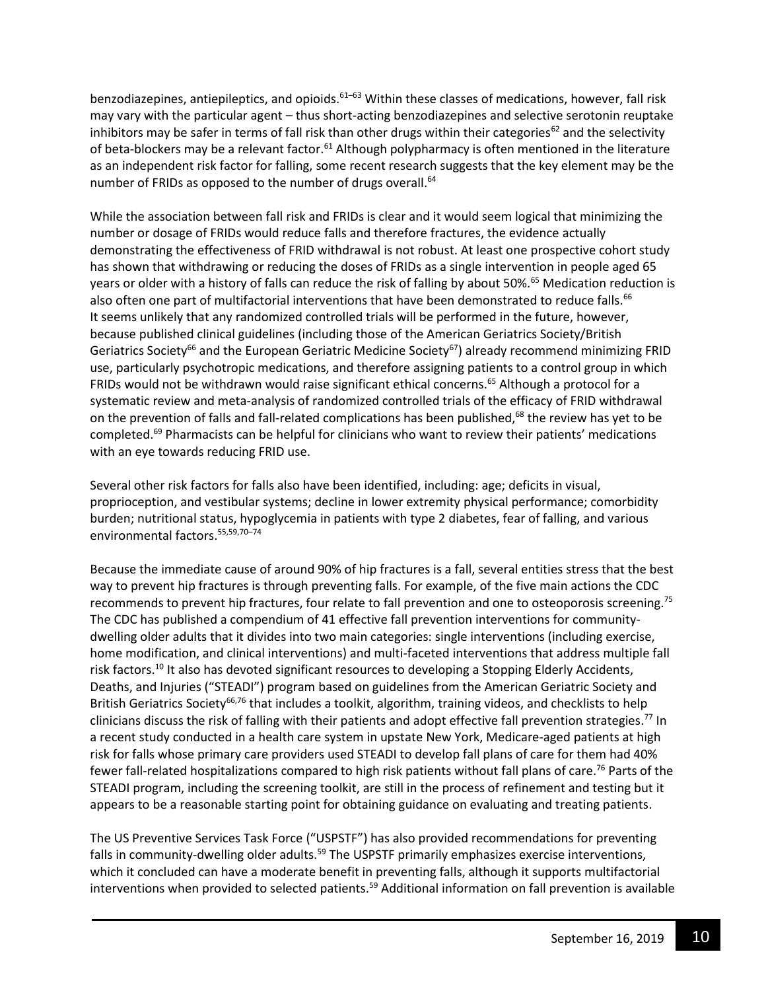benzodiazepines, antiepileptics, and opioids. $61-63$  Within these classes of medications, however, fall risk may vary with the particular agent – thus short-acting benzodiazepines and selective serotonin reuptake inhibitors may be safer in terms of fall risk than other drugs within their categories<sup>62</sup> and the selectivity of beta-blockers may be a relevant factor.<sup>61</sup> Although polypharmacy is often mentioned in the literature as an independent risk factor for falling, some recent research suggests that the key element may be the number of FRIDs as opposed to the number of drugs overall.<sup>64</sup>

While the association between fall risk and FRIDs is clear and it would seem logical that minimizing the number or dosage of FRIDs would reduce falls and therefore fractures, the evidence actually demonstrating the effectiveness of FRID withdrawal is not robust. At least one prospective cohort study has shown that withdrawing or reducing the doses of FRIDs as a single intervention in people aged 65 years or older with a history of falls can reduce the risk of falling by about 50%.<sup>65</sup> Medication reduction is also often one part of multifactorial interventions that have been demonstrated to reduce falls.<sup>66</sup> It seems unlikely that any randomized controlled trials will be performed in the future, however, because published clinical guidelines (including those of the American Geriatrics Society/British Geriatrics Society<sup>66</sup> and the European Geriatric Medicine Society<sup>67</sup>) already recommend minimizing FRID use, particularly psychotropic medications, and therefore assigning patients to a control group in which FRIDs would not be withdrawn would raise significant ethical concerns.<sup>65</sup> Although a protocol for a systematic review and meta-analysis of randomized controlled trials of the efficacy of FRID withdrawal on the prevention of falls and fall-related complications has been published,<sup>68</sup> the review has yet to be completed. <sup>69</sup> Pharmacists can be helpful for clinicians who want to review their patients' medications with an eye towards reducing FRID use.

Several other risk factors for falls also have been identified, including: age; deficits in visual, proprioception, and vestibular systems; decline in lower extremity physical performance; comorbidity burden; nutritional status, hypoglycemia in patients with type 2 diabetes, fear of falling, and various environmental factors.55,59,70–<sup>74</sup>

Because the immediate cause of around 90% of hip fractures is a fall, several entities stress that the best way to prevent hip fractures is through preventing falls. For example, of the five main actions the CDC recommends to prevent hip fractures, four relate to fall prevention and one to osteoporosis screening.<sup>75</sup> The CDC has published a compendium of 41 effective fall prevention interventions for communitydwelling older adults that it divides into two main categories: single interventions (including exercise, home modification, and clinical interventions) and multi-faceted interventions that address multiple fall risk factors.<sup>10</sup> It also has devoted significant resources to developing a Stopping Elderly Accidents, Deaths, and Injuries ("STEADI") program based on guidelines from the American Geriatric Society and British Geriatrics Society<sup>66,76</sup> that includes a toolkit, algorithm, training videos, and checklists to help clinicians discuss the risk of falling with their patients and adopt effective fall prevention strategies.<sup>77</sup> In a recent study conducted in a health care system in upstate New York, Medicare-aged patients at high risk for falls whose primary care providers used STEADI to develop fall plans of care for them had 40% fewer fall-related hospitalizations compared to high risk patients without fall plans of care.<sup>76</sup> Parts of the STEADI program, including the screening toolkit, are still in the process of refinement and testing but it appears to be a reasonable starting point for obtaining guidance on evaluating and treating patients.

The US Preventive Services Task Force ("USPSTF") has also provided recommendations for preventing falls in community-dwelling older adults.<sup>59</sup> The USPSTF primarily emphasizes exercise interventions, which it concluded can have a moderate benefit in preventing falls, although it supports multifactorial interventions when provided to selected patients.<sup>59</sup> Additional information on fall prevention is available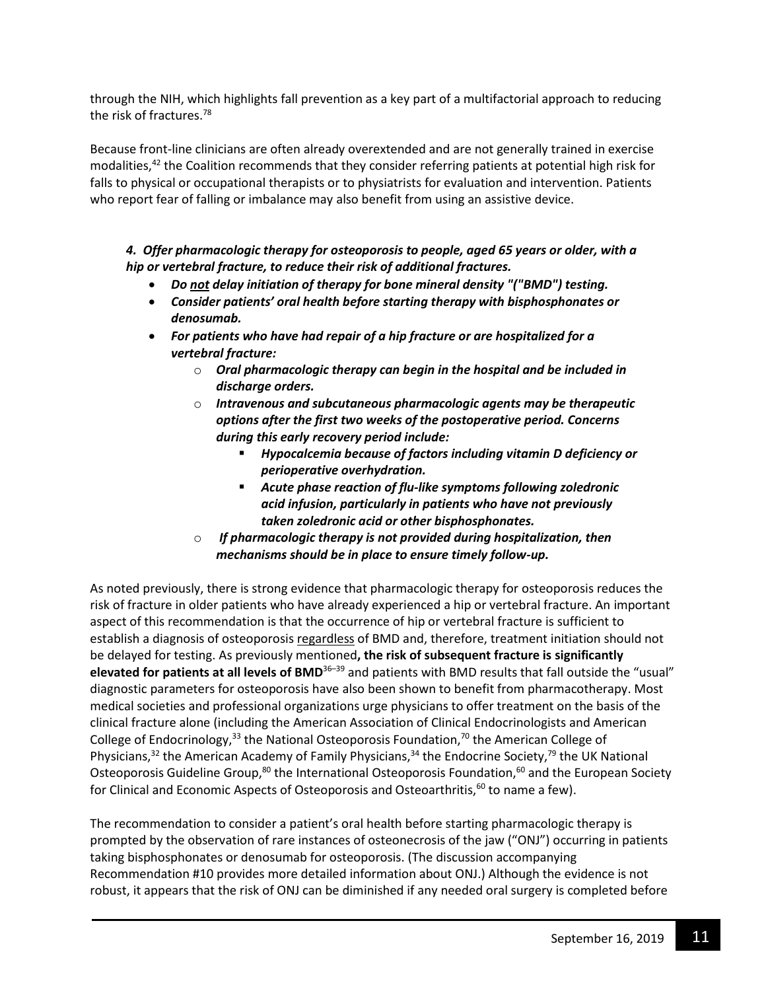through the NIH, which highlights fall prevention as a key part of a multifactorial approach to reducing the risk of fractures.<sup>78</sup>

Because front-line clinicians are often already overextended and are not generally trained in exercise modalities, $^{42}$  the Coalition recommends that they consider referring patients at potential high risk for falls to physical or occupational therapists or to physiatrists for evaluation and intervention. Patients who report fear of falling or imbalance may also benefit from using an assistive device.

### *4. Offer pharmacologic therapy for osteoporosis to people, aged 65 years or older, with a hip or vertebral fracture, to reduce their risk of additional fractures.*

- *Do not delay initiation of therapy for bone mineral density "("BMD") testing.*
- *Consider patients' oral health before starting therapy with bisphosphonates or denosumab.*
- *For patients who have had repair of a hip fracture or are hospitalized for a vertebral fracture:*
	- o *Oral pharmacologic therapy can begin in the hospital and be included in discharge orders.*
	- o *Intravenous and subcutaneous pharmacologic agents may be therapeutic options after the first two weeks of the postoperative period. Concerns during this early recovery period include:*
		- *Hypocalcemia because of factors including vitamin D deficiency or perioperative overhydration.*
		- *Acute phase reaction of flu-like symptoms following zoledronic acid infusion, particularly in patients who have not previously taken zoledronic acid or other bisphosphonates.*
	- o *If pharmacologic therapy is not provided during hospitalization, then mechanisms should be in place to ensure timely follow-up.*

As noted previously, there is strong evidence that pharmacologic therapy for osteoporosis reduces the risk of fracture in older patients who have already experienced a hip or vertebral fracture. An important aspect of this recommendation is that the occurrence of hip or vertebral fracture is sufficient to establish a diagnosis of osteoporosis regardless of BMD and, therefore, treatment initiation should not be delayed for testing. As previously mentioned**, the risk of subsequent fracture is significantly elevated for patients at all levels of BMD**<sup>36</sup>–<sup>39</sup> and patients with BMD results that fall outside the "usual" diagnostic parameters for osteoporosis have also been shown to benefit from pharmacotherapy. Most medical societies and professional organizations urge physicians to offer treatment on the basis of the clinical fracture alone (including the American Association of Clinical Endocrinologists and American College of Endocrinology,  $33$  the National Osteoporosis Foundation,  $70$  the American College of Physicians,<sup>32</sup> the American Academy of Family Physicians,<sup>34</sup> the Endocrine Society,<sup>79</sup> the UK National Osteoporosis Guideline Group,<sup>80</sup> the International Osteoporosis Foundation,<sup>60</sup> and the European Society for Clinical and Economic Aspects of Osteoporosis and Osteoarthritis,<sup>60</sup> to name a few).

The recommendation to consider a patient's oral health before starting pharmacologic therapy is prompted by the observation of rare instances of osteonecrosis of the jaw ("ONJ") occurring in patients taking bisphosphonates or denosumab for osteoporosis. (The discussion accompanying Recommendation #10 provides more detailed information about ONJ.) Although the evidence is not robust, it appears that the risk of ONJ can be diminished if any needed oral surgery is completed before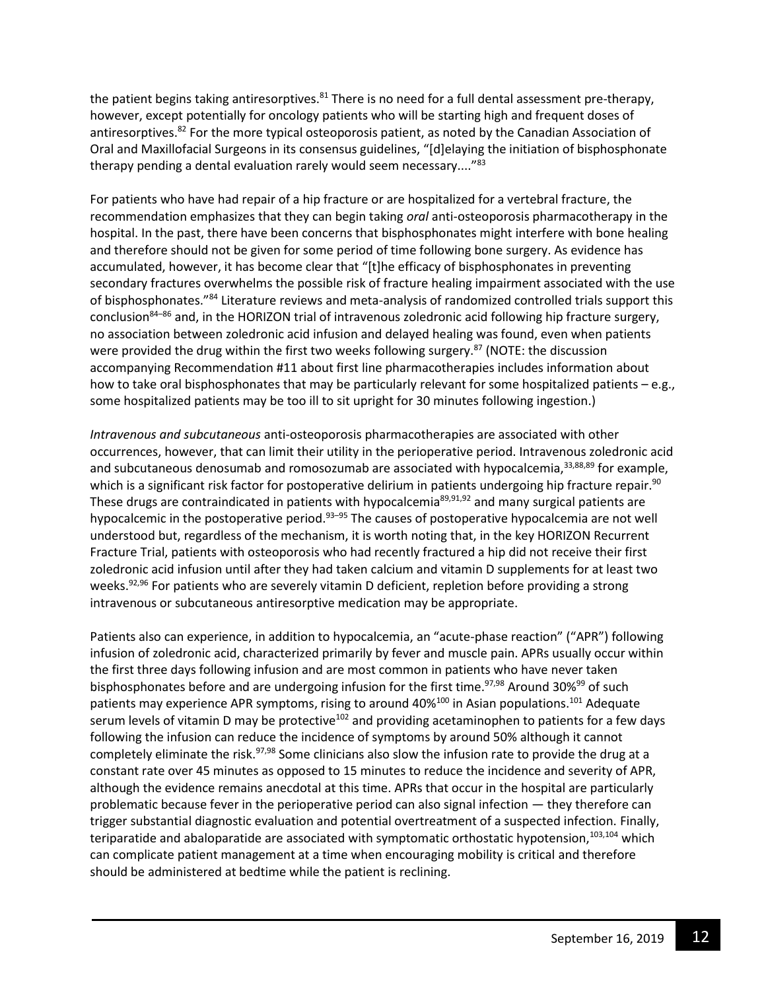the patient begins taking antiresorptives.<sup>81</sup> There is no need for a full dental assessment pre-therapy, however, except potentially for oncology patients who will be starting high and frequent doses of antiresorptives.<sup>82</sup> For the more typical osteoporosis patient, as noted by the Canadian Association of Oral and Maxillofacial Surgeons in its consensus guidelines, "[d]elaying the initiation of bisphosphonate therapy pending a dental evaluation rarely would seem necessary...."<sup>83</sup>

For patients who have had repair of a hip fracture or are hospitalized for a vertebral fracture, the recommendation emphasizes that they can begin taking *oral* anti-osteoporosis pharmacotherapy in the hospital. In the past, there have been concerns that bisphosphonates might interfere with bone healing and therefore should not be given for some period of time following bone surgery. As evidence has accumulated, however, it has become clear that "[t]he efficacy of bisphosphonates in preventing secondary fractures overwhelms the possible risk of fracture healing impairment associated with the use of bisphosphonates."<sup>84</sup> Literature reviews and meta-analysis of randomized controlled trials support this conclusion<sup>84</sup>–<sup>86</sup> and, in the HORIZON trial of intravenous zoledronic acid following hip fracture surgery, no association between zoledronic acid infusion and delayed healing was found, even when patients were provided the drug within the first two weeks following surgery.<sup>87</sup> (NOTE: the discussion accompanying Recommendation #11 about first line pharmacotherapies includes information about how to take oral bisphosphonates that may be particularly relevant for some hospitalized patients – e.g., some hospitalized patients may be too ill to sit upright for 30 minutes following ingestion.)

*Intravenous and subcutaneous* anti-osteoporosis pharmacotherapies are associated with other occurrences, however, that can limit their utility in the perioperative period. Intravenous zoledronic acid and subcutaneous denosumab and romosozumab are associated with hypocalcemia, 33,88,89 for example, which is a significant risk factor for postoperative delirium in patients undergoing hip fracture repair.<sup>90</sup> These drugs are contraindicated in patients with hypocalcemia<sup>89,91,92</sup> and many surgical patients are hypocalcemic in the postoperative period.<sup>93–95</sup> The causes of postoperative hypocalcemia are not well understood but, regardless of the mechanism, it is worth noting that, in the key HORIZON Recurrent Fracture Trial, patients with osteoporosis who had recently fractured a hip did not receive their first zoledronic acid infusion until after they had taken calcium and vitamin D supplements for at least two weeks.<sup>92,96</sup> For patients who are severely vitamin D deficient, repletion before providing a strong intravenous or subcutaneous antiresorptive medication may be appropriate.

Patients also can experience, in addition to hypocalcemia, an "acute-phase reaction" ("APR") following infusion of zoledronic acid, characterized primarily by fever and muscle pain. APRs usually occur within the first three days following infusion and are most common in patients who have never taken bisphosphonates before and are undergoing infusion for the first time.<sup>97,98</sup> Around 30%<sup>99</sup> of such patients may experience APR symptoms, rising to around 40%<sup>100</sup> in Asian populations.<sup>101</sup> Adequate serum levels of vitamin D may be protective<sup>102</sup> and providing acetaminophen to patients for a few days following the infusion can reduce the incidence of symptoms by around 50% although it cannot completely eliminate the risk.<sup>97,98</sup> Some clinicians also slow the infusion rate to provide the drug at a constant rate over 45 minutes as opposed to 15 minutes to reduce the incidence and severity of APR, although the evidence remains anecdotal at this time. APRs that occur in the hospital are particularly problematic because fever in the perioperative period can also signal infection — they therefore can trigger substantial diagnostic evaluation and potential overtreatment of a suspected infection. Finally, teriparatide and abaloparatide are associated with symptomatic orthostatic hypotension,<sup>103,104</sup> which can complicate patient management at a time when encouraging mobility is critical and therefore should be administered at bedtime while the patient is reclining.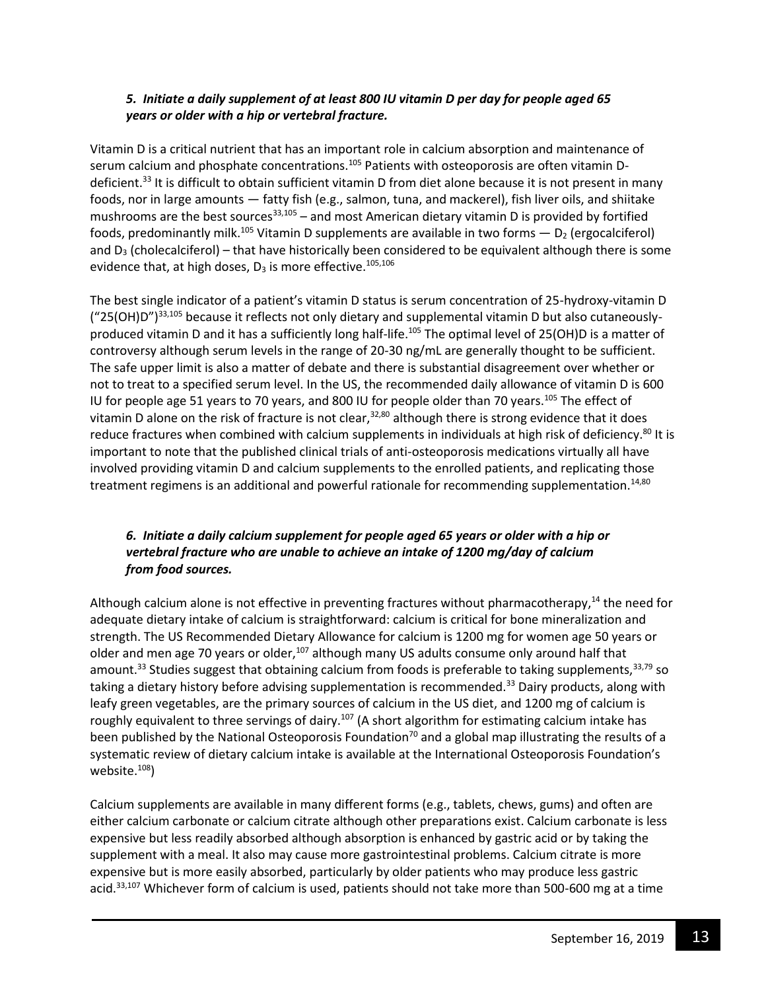## *5. Initiate a daily supplement of at least 800 IU vitamin D per day for people aged 65 years or older with a hip or vertebral fracture.*

Vitamin D is a critical nutrient that has an important role in calcium absorption and maintenance of serum calcium and phosphate concentrations.<sup>105</sup> Patients with osteoporosis are often vitamin Ddeficient.<sup>33</sup> It is difficult to obtain sufficient vitamin D from diet alone because it is not present in many foods, nor in large amounts — fatty fish (e.g., salmon, tuna, and mackerel), fish liver oils, and shiitake mushrooms are the best sources  $33,105 -$  and most American dietary vitamin D is provided by fortified foods, predominantly milk.<sup>105</sup> Vitamin D supplements are available in two forms  $- D_2$  (ergocalciferol) and  $D_3$  (cholecalciferol) – that have historically been considered to be equivalent although there is some evidence that, at high doses,  $D_3$  is more effective.<sup>105,106</sup>

The best single indicator of a patient's vitamin D status is serum concentration of 25-hydroxy-vitamin D ("25(OH)D")<sup>33,105</sup> because it reflects not only dietary and supplemental vitamin D but also cutaneouslyproduced vitamin D and it has a sufficiently long half-life.<sup>105</sup> The optimal level of 25(OH)D is a matter of controversy although serum levels in the range of 20-30 ng/mL are generally thought to be sufficient. The safe upper limit is also a matter of debate and there is substantial disagreement over whether or not to treat to a specified serum level. In the US, the recommended daily allowance of vitamin D is 600 IU for people age 51 years to 70 years, and 800 IU for people older than 70 years.<sup>105</sup> The effect of vitamin D alone on the risk of fracture is not clear,  $32,80$  although there is strong evidence that it does reduce fractures when combined with calcium supplements in individuals at high risk of deficiency.<sup>80</sup> It is important to note that the published clinical trials of anti-osteoporosis medications virtually all have involved providing vitamin D and calcium supplements to the enrolled patients, and replicating those treatment regimens is an additional and powerful rationale for recommending supplementation.<sup>14,80</sup>

## *6. Initiate a daily calcium supplement for people aged 65 years or older with a hip or vertebral fracture who are unable to achieve an intake of 1200 mg/day of calcium from food sources.*

Although calcium alone is not effective in preventing fractures without pharmacotherapy,<sup>14</sup> the need for adequate dietary intake of calcium is straightforward: calcium is critical for bone mineralization and strength. The US Recommended Dietary Allowance for calcium is 1200 mg for women age 50 years or older and men age 70 years or older, $107$  although many US adults consume only around half that amount.<sup>33</sup> Studies suggest that obtaining calcium from foods is preferable to taking supplements,  $33,79$  so taking a dietary history before advising supplementation is recommended.<sup>33</sup> Dairy products, along with leafy green vegetables, are the primary sources of calcium in the US diet, and 1200 mg of calcium is roughly equivalent to three servings of dairy.<sup>107</sup> (A short algorithm for estimating calcium intake has been published by the National Osteoporosis Foundation<sup>70</sup> and a global map illustrating the results of a systematic review of dietary calcium intake is available at the International Osteoporosis Foundation's website.<sup>108</sup>)

Calcium supplements are available in many different forms (e.g., tablets, chews, gums) and often are either calcium carbonate or calcium citrate although other preparations exist. Calcium carbonate is less expensive but less readily absorbed although absorption is enhanced by gastric acid or by taking the supplement with a meal. It also may cause more gastrointestinal problems. Calcium citrate is more expensive but is more easily absorbed, particularly by older patients who may produce less gastric acid.<sup>33,107</sup> Whichever form of calcium is used, patients should not take more than 500-600 mg at a time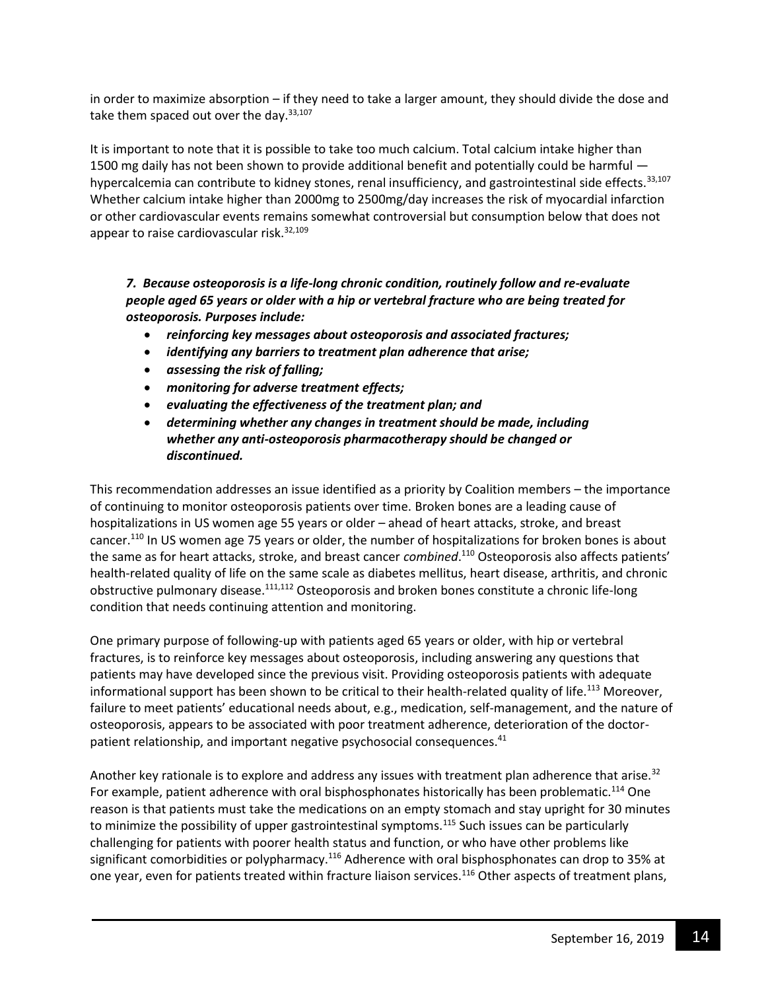in order to maximize absorption – if they need to take a larger amount, they should divide the dose and take them spaced out over the day. $33,107$ 

It is important to note that it is possible to take too much calcium. Total calcium intake higher than 1500 mg daily has not been shown to provide additional benefit and potentially could be harmful hypercalcemia can contribute to kidney stones, renal insufficiency, and gastrointestinal side effects.<sup>33,107</sup> Whether calcium intake higher than 2000mg to 2500mg/day increases the risk of myocardial infarction or other cardiovascular events remains somewhat controversial but consumption below that does not appear to raise cardiovascular risk.<sup>32,109</sup>

*7. Because osteoporosis is a life-long chronic condition, routinely follow and re-evaluate people aged 65 years or older with a hip or vertebral fracture who are being treated for osteoporosis. Purposes include:*

- *reinforcing key messages about osteoporosis and associated fractures;*
- *identifying any barriers to treatment plan adherence that arise;*
- *assessing the risk of falling;*
- *monitoring for adverse treatment effects;*
- *evaluating the effectiveness of the treatment plan; and*
- *determining whether any changes in treatment should be made, including whether any anti-osteoporosis pharmacotherapy should be changed or discontinued.*

This recommendation addresses an issue identified as a priority by Coalition members – the importance of continuing to monitor osteoporosis patients over time. Broken bones are a leading cause of hospitalizations in US women age 55 years or older – ahead of heart attacks, stroke, and breast cancer.<sup>110</sup> In US women age 75 years or older, the number of hospitalizations for broken bones is about the same as for heart attacks, stroke, and breast cancer *combined*. <sup>110</sup> Osteoporosis also affects patients' health-related quality of life on the same scale as diabetes mellitus, heart disease, arthritis, and chronic obstructive pulmonary disease.111,112 Osteoporosis and broken bones constitute a chronic life-long condition that needs continuing attention and monitoring.

One primary purpose of following-up with patients aged 65 years or older, with hip or vertebral fractures, is to reinforce key messages about osteoporosis, including answering any questions that patients may have developed since the previous visit. Providing osteoporosis patients with adequate informational support has been shown to be critical to their health-related quality of life.<sup>113</sup> Moreover, failure to meet patients' educational needs about, e.g., medication, self-management, and the nature of osteoporosis, appears to be associated with poor treatment adherence, deterioration of the doctorpatient relationship, and important negative psychosocial consequences.<sup>41</sup>

Another key rationale is to explore and address any issues with treatment plan adherence that arise.<sup>32</sup> For example, patient adherence with oral bisphosphonates historically has been problematic.<sup>114</sup> One reason is that patients must take the medications on an empty stomach and stay upright for 30 minutes to minimize the possibility of upper gastrointestinal symptoms.<sup>115</sup> Such issues can be particularly challenging for patients with poorer health status and function, or who have other problems like significant comorbidities or polypharmacy.<sup>116</sup> Adherence with oral bisphosphonates can drop to 35% at one year, even for patients treated within fracture liaison services.<sup>116</sup> Other aspects of treatment plans,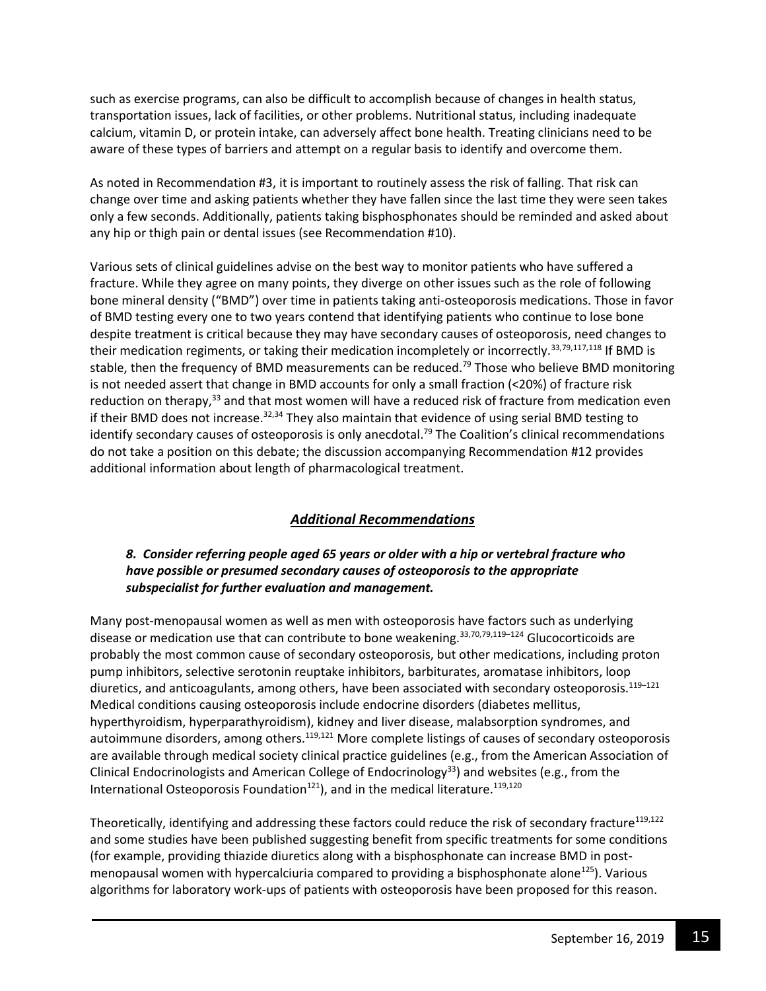such as exercise programs, can also be difficult to accomplish because of changes in health status, transportation issues, lack of facilities, or other problems. Nutritional status, including inadequate calcium, vitamin D, or protein intake, can adversely affect bone health. Treating clinicians need to be aware of these types of barriers and attempt on a regular basis to identify and overcome them.

As noted in Recommendation #3, it is important to routinely assess the risk of falling. That risk can change over time and asking patients whether they have fallen since the last time they were seen takes only a few seconds. Additionally, patients taking bisphosphonates should be reminded and asked about any hip or thigh pain or dental issues (see Recommendation #10).

Various sets of clinical guidelines advise on the best way to monitor patients who have suffered a fracture. While they agree on many points, they diverge on other issues such as the role of following bone mineral density ("BMD") over time in patients taking anti-osteoporosis medications. Those in favor of BMD testing every one to two years contend that identifying patients who continue to lose bone despite treatment is critical because they may have secondary causes of osteoporosis, need changes to their medication regiments, or taking their medication incompletely or incorrectly.<sup>33,79,117,118</sup> If BMD is stable, then the frequency of BMD measurements can be reduced.<sup>79</sup> Those who believe BMD monitoring is not needed assert that change in BMD accounts for only a small fraction (<20%) of fracture risk reduction on therapy,<sup>33</sup> and that most women will have a reduced risk of fracture from medication even if their BMD does not increase.<sup>32,34</sup> They also maintain that evidence of using serial BMD testing to identify secondary causes of osteoporosis is only anecdotal.<sup>79</sup> The Coalition's clinical recommendations do not take a position on this debate; the discussion accompanying Recommendation #12 provides additional information about length of pharmacological treatment.

## *Additional Recommendations*

### *8. Consider referring people aged 65 years or older with a hip or vertebral fracture who have possible or presumed secondary causes of osteoporosis to the appropriate subspecialist for further evaluation and management.*

Many post-menopausal women as well as men with osteoporosis have factors such as underlying disease or medication use that can contribute to bone weakening.<sup>33,70,79,119–124</sup> Glucocorticoids are probably the most common cause of secondary osteoporosis, but other medications, including proton pump inhibitors, selective serotonin reuptake inhibitors, barbiturates, aromatase inhibitors, loop diuretics, and anticoagulants, among others, have been associated with secondary osteoporosis.<sup>119-121</sup> Medical conditions causing osteoporosis include endocrine disorders (diabetes mellitus, hyperthyroidism, hyperparathyroidism), kidney and liver disease, malabsorption syndromes, and autoimmune disorders, among others.<sup>119,121</sup> More complete listings of causes of secondary osteoporosis are available through medical society clinical practice guidelines (e.g., from the American Association of Clinical Endocrinologists and American College of Endocrinology<sup>33</sup>) and websites (e.g., from the International Osteoporosis Foundation<sup>121</sup>), and in the medical literature.<sup>119,120</sup>

Theoretically, identifying and addressing these factors could reduce the risk of secondary fracture<sup>119,122</sup> and some studies have been published suggesting benefit from specific treatments for some conditions (for example, providing thiazide diuretics along with a bisphosphonate can increase BMD in postmenopausal women with hypercalciuria compared to providing a bisphosphonate alone<sup>125</sup>). Various algorithms for laboratory work-ups of patients with osteoporosis have been proposed for this reason.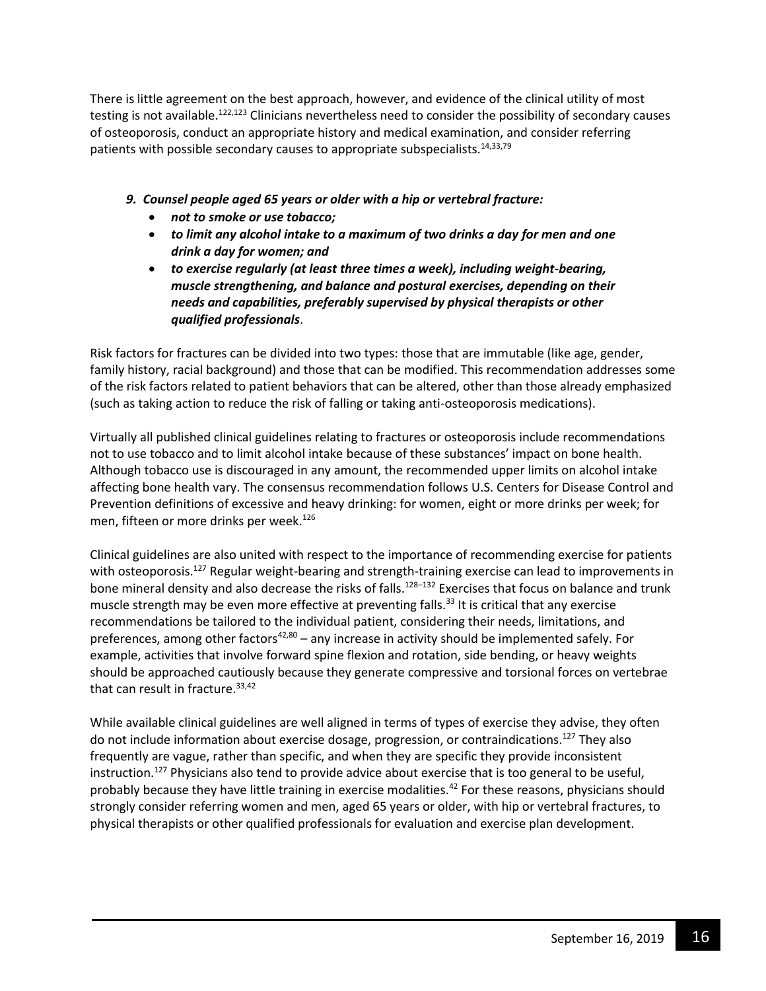There is little agreement on the best approach, however, and evidence of the clinical utility of most testing is not available.<sup>122,123</sup> Clinicians nevertheless need to consider the possibility of secondary causes of osteoporosis, conduct an appropriate history and medical examination, and consider referring patients with possible secondary causes to appropriate subspecialists.<sup>14,33,79</sup>

## *9. Counsel people aged 65 years or older with a hip or vertebral fracture:*

- *not to smoke or use tobacco;*
- *to limit any alcohol intake to a maximum of two drinks a day for men and one drink a day for women; and*
- *to exercise regularly (at least three times a week), including weight-bearing, muscle strengthening, and balance and postural exercises, depending on their needs and capabilities, preferably supervised by physical therapists or other qualified professionals*.

Risk factors for fractures can be divided into two types: those that are immutable (like age, gender, family history, racial background) and those that can be modified. This recommendation addresses some of the risk factors related to patient behaviors that can be altered, other than those already emphasized (such as taking action to reduce the risk of falling or taking anti-osteoporosis medications).

Virtually all published clinical guidelines relating to fractures or osteoporosis include recommendations not to use tobacco and to limit alcohol intake because of these substances' impact on bone health. Although tobacco use is discouraged in any amount, the recommended upper limits on alcohol intake affecting bone health vary. The consensus recommendation follows U.S. Centers for Disease Control and Prevention definitions of excessive and heavy drinking: for women, eight or more drinks per week; for men, fifteen or more drinks per week.<sup>126</sup>

Clinical guidelines are also united with respect to the importance of recommending exercise for patients with osteoporosis.<sup>127</sup> Regular weight-bearing and strength-training exercise can lead to improvements in bone mineral density and also decrease the risks of falls.<sup>128-132</sup> Exercises that focus on balance and trunk muscle strength may be even more effective at preventing falls.<sup>33</sup> It is critical that any exercise recommendations be tailored to the individual patient, considering their needs, limitations, and preferences, among other factors $42,80 -$  any increase in activity should be implemented safely. For example, activities that involve forward spine flexion and rotation, side bending, or heavy weights should be approached cautiously because they generate compressive and torsional forces on vertebrae that can result in fracture.<sup>33,42</sup>

While available clinical guidelines are well aligned in terms of types of exercise they advise, they often do not include information about exercise dosage, progression, or contraindications.<sup>127</sup> They also frequently are vague, rather than specific, and when they are specific they provide inconsistent instruction.<sup>127</sup> Physicians also tend to provide advice about exercise that is too general to be useful, probably because they have little training in exercise modalities.<sup>42</sup> For these reasons, physicians should strongly consider referring women and men, aged 65 years or older, with hip or vertebral fractures, to physical therapists or other qualified professionals for evaluation and exercise plan development.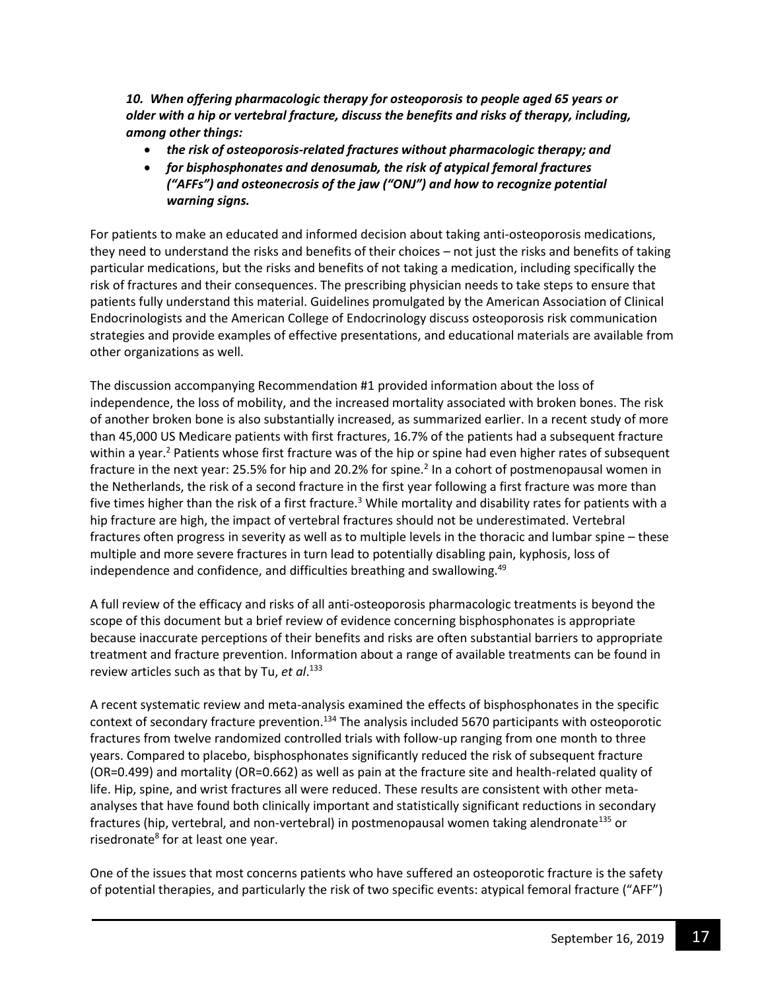*10. When offering pharmacologic therapy for osteoporosis to people aged 65 years or older with a hip or vertebral fracture, discuss the benefits and risks of therapy, including, among other things:*

- *the risk of osteoporosis-related fractures without pharmacologic therapy; and*
- *for bisphosphonates and denosumab, the risk of atypical femoral fractures ("AFFs") and osteonecrosis of the jaw ("ONJ") and how to recognize potential warning signs.*

For patients to make an educated and informed decision about taking anti-osteoporosis medications, they need to understand the risks and benefits of their choices – not just the risks and benefits of taking particular medications, but the risks and benefits of not taking a medication, including specifically the risk of fractures and their consequences. The prescribing physician needs to take steps to ensure that patients fully understand this material. Guidelines promulgated by the American Association of Clinical Endocrinologists and the American College of Endocrinology discuss osteoporosis risk communication strategies and provide examples of effective presentations, and educational materials are available from other organizations as well.

The discussion accompanying Recommendation #1 provided information about the loss of independence, the loss of mobility, and the increased mortality associated with broken bones. The risk of another broken bone is also substantially increased, as summarized earlier. In a recent study of more than 45,000 US Medicare patients with first fractures, 16.7% of the patients had a subsequent fracture within a year.<sup>2</sup> Patients whose first fracture was of the hip or spine had even higher rates of subsequent fracture in the next year: 25.5% for hip and 20.2% for spine.<sup>2</sup> In a cohort of postmenopausal women in the Netherlands, the risk of a second fracture in the first year following a first fracture was more than five times higher than the risk of a first fracture.<sup>3</sup> While mortality and disability rates for patients with a hip fracture are high, the impact of vertebral fractures should not be underestimated. Vertebral fractures often progress in severity as well as to multiple levels in the thoracic and lumbar spine – these multiple and more severe fractures in turn lead to potentially disabling pain, kyphosis, loss of independence and confidence, and difficulties breathing and swallowing.<sup>49</sup>

A full review of the efficacy and risks of all anti-osteoporosis pharmacologic treatments is beyond the scope of this document but a brief review of evidence concerning bisphosphonates is appropriate because inaccurate perceptions of their benefits and risks are often substantial barriers to appropriate treatment and fracture prevention. Information about a range of available treatments can be found in review articles such as that by Tu, *et al*. 133

A recent systematic review and meta-analysis examined the effects of bisphosphonates in the specific context of secondary fracture prevention.<sup>134</sup> The analysis included 5670 participants with osteoporotic fractures from twelve randomized controlled trials with follow-up ranging from one month to three years. Compared to placebo, bisphosphonates significantly reduced the risk of subsequent fracture (OR=0.499) and mortality (OR=0.662) as well as pain at the fracture site and health-related quality of life. Hip, spine, and wrist fractures all were reduced. These results are consistent with other metaanalyses that have found both clinically important and statistically significant reductions in secondary fractures (hip, vertebral, and non-vertebral) in postmenopausal women taking alendronate<sup>135</sup> or risedronate<sup>8</sup> for at least one year.

One of the issues that most concerns patients who have suffered an osteoporotic fracture is the safety of potential therapies, and particularly the risk of two specific events: atypical femoral fracture ("AFF")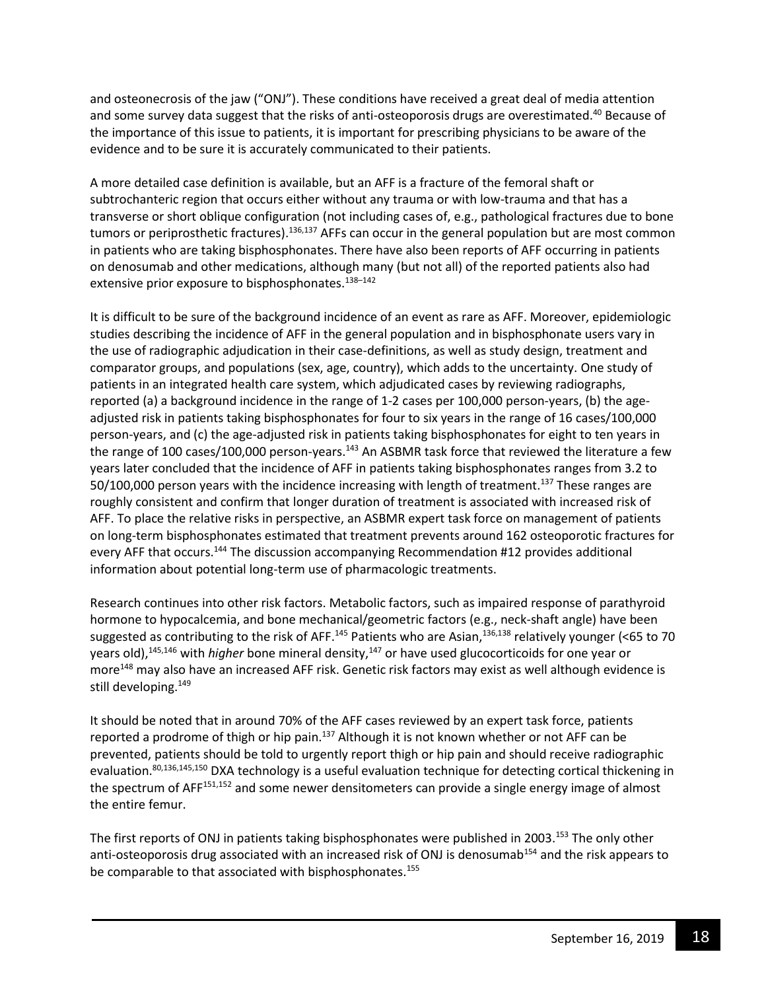and osteonecrosis of the jaw ("ONJ"). These conditions have received a great deal of media attention and some survey data suggest that the risks of anti-osteoporosis drugs are overestimated.<sup>40</sup> Because of the importance of this issue to patients, it is important for prescribing physicians to be aware of the evidence and to be sure it is accurately communicated to their patients.

A more detailed case definition is available, but an AFF is a fracture of the femoral shaft or subtrochanteric region that occurs either without any trauma or with low-trauma and that has a transverse or short oblique configuration (not including cases of, e.g., pathological fractures due to bone tumors or periprosthetic fractures).<sup>136,137</sup> AFFs can occur in the general population but are most common in patients who are taking bisphosphonates. There have also been reports of AFF occurring in patients on denosumab and other medications, although many (but not all) of the reported patients also had extensive prior exposure to bisphosphonates.<sup>138-142</sup>

It is difficult to be sure of the background incidence of an event as rare as AFF. Moreover, epidemiologic studies describing the incidence of AFF in the general population and in bisphosphonate users vary in the use of radiographic adjudication in their case-definitions, as well as study design, treatment and comparator groups, and populations (sex, age, country), which adds to the uncertainty. One study of patients in an integrated health care system, which adjudicated cases by reviewing radiographs, reported (a) a background incidence in the range of 1-2 cases per 100,000 person-years, (b) the ageadjusted risk in patients taking bisphosphonates for four to six years in the range of 16 cases/100,000 person-years, and (c) the age-adjusted risk in patients taking bisphosphonates for eight to ten years in the range of 100 cases/100,000 person-years.<sup>143</sup> An ASBMR task force that reviewed the literature a few years later concluded that the incidence of AFF in patients taking bisphosphonates ranges from 3.2 to 50/100,000 person years with the incidence increasing with length of treatment.<sup>137</sup> These ranges are roughly consistent and confirm that longer duration of treatment is associated with increased risk of AFF. To place the relative risks in perspective, an ASBMR expert task force on management of patients on long-term bisphosphonates estimated that treatment prevents around 162 osteoporotic fractures for every AFF that occurs.<sup>144</sup> The discussion accompanying Recommendation #12 provides additional information about potential long-term use of pharmacologic treatments.

Research continues into other risk factors. Metabolic factors, such as impaired response of parathyroid hormone to hypocalcemia, and bone mechanical/geometric factors (e.g., neck-shaft angle) have been suggested as contributing to the risk of AFF.<sup>145</sup> Patients who are Asian,<sup>136,138</sup> relatively younger (<65 to 70 years old),<sup>145,146</sup> with *higher* bone mineral density,<sup>147</sup> or have used glucocorticoids for one year or more<sup>148</sup> may also have an increased AFF risk. Genetic risk factors may exist as well although evidence is still developing.<sup>149</sup>

It should be noted that in around 70% of the AFF cases reviewed by an expert task force, patients reported a prodrome of thigh or hip pain.<sup>137</sup> Although it is not known whether or not AFF can be prevented, patients should be told to urgently report thigh or hip pain and should receive radiographic evaluation.<sup>80,136,145,150</sup> DXA technology is a useful evaluation technique for detecting cortical thickening in the spectrum of AFF<sup>151,152</sup> and some newer densitometers can provide a single energy image of almost the entire femur.

The first reports of ONJ in patients taking bisphosphonates were published in 2003.<sup>153</sup> The only other anti-osteoporosis drug associated with an increased risk of ONJ is denosumab<sup>154</sup> and the risk appears to be comparable to that associated with bisphosphonates.<sup>155</sup>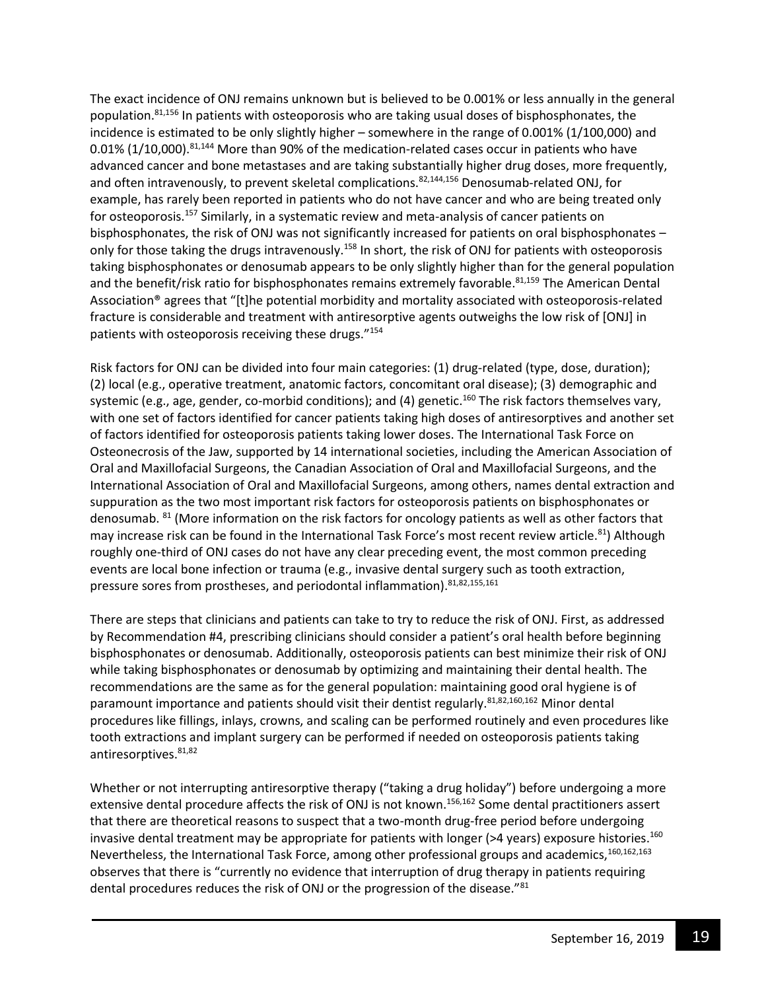The exact incidence of ONJ remains unknown but is believed to be 0.001% or less annually in the general population.<sup>81,156</sup> In patients with osteoporosis who are taking usual doses of bisphosphonates, the incidence is estimated to be only slightly higher – somewhere in the range of 0.001% (1/100,000) and 0.01% (1/10,000).<sup>81,144</sup> More than 90% of the medication-related cases occur in patients who have advanced cancer and bone metastases and are taking substantially higher drug doses, more frequently, and often intravenously, to prevent skeletal complications.<sup>82,144,156</sup> Denosumab-related ONJ, for example, has rarely been reported in patients who do not have cancer and who are being treated only for osteoporosis.<sup>157</sup> Similarly, in a systematic review and meta-analysis of cancer patients on bisphosphonates, the risk of ONJ was not significantly increased for patients on oral bisphosphonates – only for those taking the drugs intravenously.<sup>158</sup> In short, the risk of ONJ for patients with osteoporosis taking bisphosphonates or denosumab appears to be only slightly higher than for the general population and the benefit/risk ratio for bisphosphonates remains extremely favorable.<sup>81,159</sup> The American Dental Association® agrees that "[t]he potential morbidity and mortality associated with osteoporosis-related fracture is considerable and treatment with antiresorptive agents outweighs the low risk of [ONJ] in patients with osteoporosis receiving these drugs."<sup>154</sup>

Risk factors for ONJ can be divided into four main categories: (1) drug-related (type, dose, duration); (2) local (e.g., operative treatment, anatomic factors, concomitant oral disease); (3) demographic and systemic (e.g., age, gender, co-morbid conditions); and (4) genetic.<sup>160</sup> The risk factors themselves vary, with one set of factors identified for cancer patients taking high doses of antiresorptives and another set of factors identified for osteoporosis patients taking lower doses. The International Task Force on Osteonecrosis of the Jaw, supported by 14 international societies, including the American Association of Oral and Maxillofacial Surgeons, the Canadian Association of Oral and Maxillofacial Surgeons, and the International Association of Oral and Maxillofacial Surgeons, among others, names dental extraction and suppuration as the two most important risk factors for osteoporosis patients on bisphosphonates or denosumab. <sup>81</sup> (More information on the risk factors for oncology patients as well as other factors that may increase risk can be found in the International Task Force's most recent review article.<sup>81</sup>) Although roughly one-third of ONJ cases do not have any clear preceding event, the most common preceding events are local bone infection or trauma (e.g., invasive dental surgery such as tooth extraction, pressure sores from prostheses, and periodontal inflammation). 81,82,155,161

There are steps that clinicians and patients can take to try to reduce the risk of ONJ. First, as addressed by Recommendation #4, prescribing clinicians should consider a patient's oral health before beginning bisphosphonates or denosumab. Additionally, osteoporosis patients can best minimize their risk of ONJ while taking bisphosphonates or denosumab by optimizing and maintaining their dental health. The recommendations are the same as for the general population: maintaining good oral hygiene is of paramount importance and patients should visit their dentist regularly.<sup>81,82,160,162</sup> Minor dental procedures like fillings, inlays, crowns, and scaling can be performed routinely and even procedures like tooth extractions and implant surgery can be performed if needed on osteoporosis patients taking antiresorptives. 81,82

Whether or not interrupting antiresorptive therapy ("taking a drug holiday") before undergoing a more extensive dental procedure affects the risk of ONJ is not known.<sup>156,162</sup> Some dental practitioners assert that there are theoretical reasons to suspect that a two-month drug-free period before undergoing invasive dental treatment may be appropriate for patients with longer (>4 years) exposure histories. 160 Nevertheless, the International Task Force, among other professional groups and academics,<sup>160,162,163</sup> observes that there is "currently no evidence that interruption of drug therapy in patients requiring dental procedures reduces the risk of ONJ or the progression of the disease."<sup>81</sup>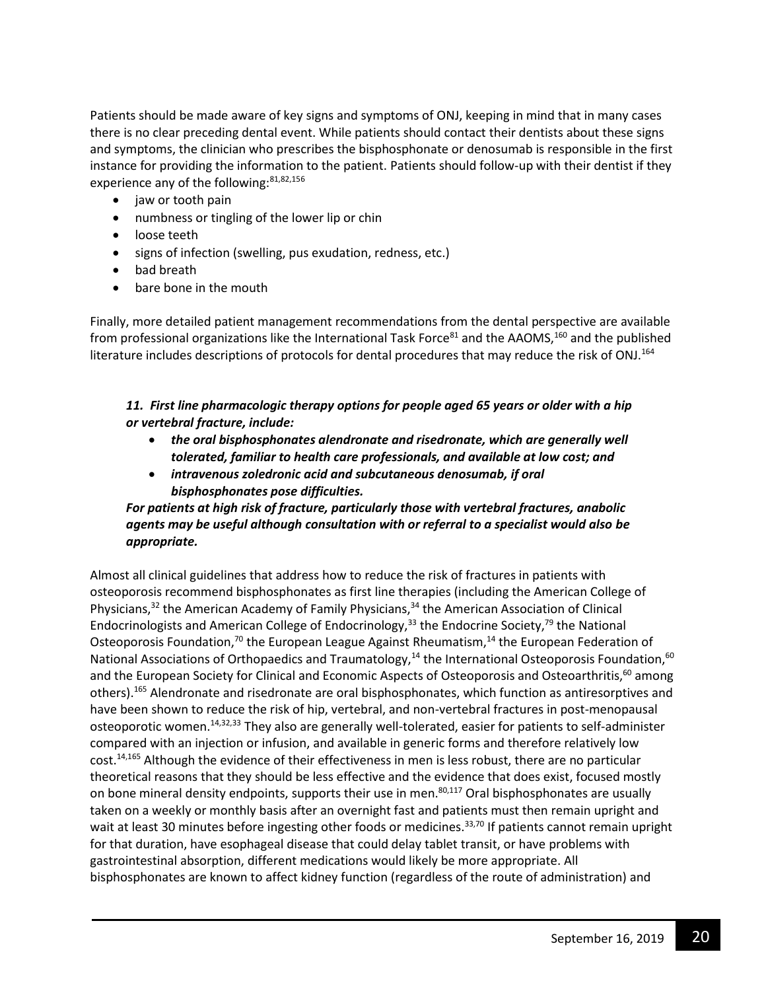Patients should be made aware of key signs and symptoms of ONJ, keeping in mind that in many cases there is no clear preceding dental event. While patients should contact their dentists about these signs and symptoms, the clinician who prescribes the bisphosphonate or denosumab is responsible in the first instance for providing the information to the patient. Patients should follow-up with their dentist if they experience any of the following:<sup>81,82,156</sup>

- jaw or tooth pain
- numbness or tingling of the lower lip or chin
- loose teeth
- signs of infection (swelling, pus exudation, redness, etc.)
- bad breath
- bare bone in the mouth

Finally, more detailed patient management recommendations from the dental perspective are available from professional organizations like the International Task Force $^{81}$  and the AAOMS,  $^{160}$  and the published literature includes descriptions of protocols for dental procedures that may reduce the risk of ONJ.<sup>164</sup>

#### *11. First line pharmacologic therapy options for people aged 65 years or older with a hip or vertebral fracture, include:*

- *the oral bisphosphonates alendronate and risedronate, which are generally well tolerated, familiar to health care professionals, and available at low cost; and*
- *intravenous zoledronic acid and subcutaneous denosumab, if oral bisphosphonates pose difficulties.*

*For patients at high risk of fracture, particularly those with vertebral fractures, anabolic agents may be useful although consultation with or referral to a specialist would also be appropriate.*

Almost all clinical guidelines that address how to reduce the risk of fractures in patients with osteoporosis recommend bisphosphonates as first line therapies (including the American College of Physicians,<sup>32</sup> the American Academy of Family Physicians,<sup>34</sup> the American Association of Clinical Endocrinologists and American College of Endocrinology,<sup>33</sup> the Endocrine Society,<sup>79</sup> the National Osteoporosis Foundation,<sup>70</sup> the European League Against Rheumatism,<sup>14</sup> the European Federation of National Associations of Orthopaedics and Traumatology,<sup>14</sup> the International Osteoporosis Foundation,<sup>60</sup> and the European Society for Clinical and Economic Aspects of Osteoporosis and Osteoarthritis,<sup>60</sup> among others).<sup>165</sup> Alendronate and risedronate are oral bisphosphonates, which function as antiresorptives and have been shown to reduce the risk of hip, vertebral, and non-vertebral fractures in post-menopausal osteoporotic women.<sup>14,32,33</sup> They also are generally well-tolerated, easier for patients to self-administer compared with an injection or infusion, and available in generic forms and therefore relatively low cost.<sup>14,165</sup> Although the evidence of their effectiveness in men is less robust, there are no particular theoretical reasons that they should be less effective and the evidence that does exist, focused mostly on bone mineral density endpoints, supports their use in men.<sup>80,117</sup> Oral bisphosphonates are usually taken on a weekly or monthly basis after an overnight fast and patients must then remain upright and wait at least 30 minutes before ingesting other foods or medicines.<sup>33,70</sup> If patients cannot remain upright for that duration, have esophageal disease that could delay tablet transit, or have problems with gastrointestinal absorption, different medications would likely be more appropriate. All bisphosphonates are known to affect kidney function (regardless of the route of administration) and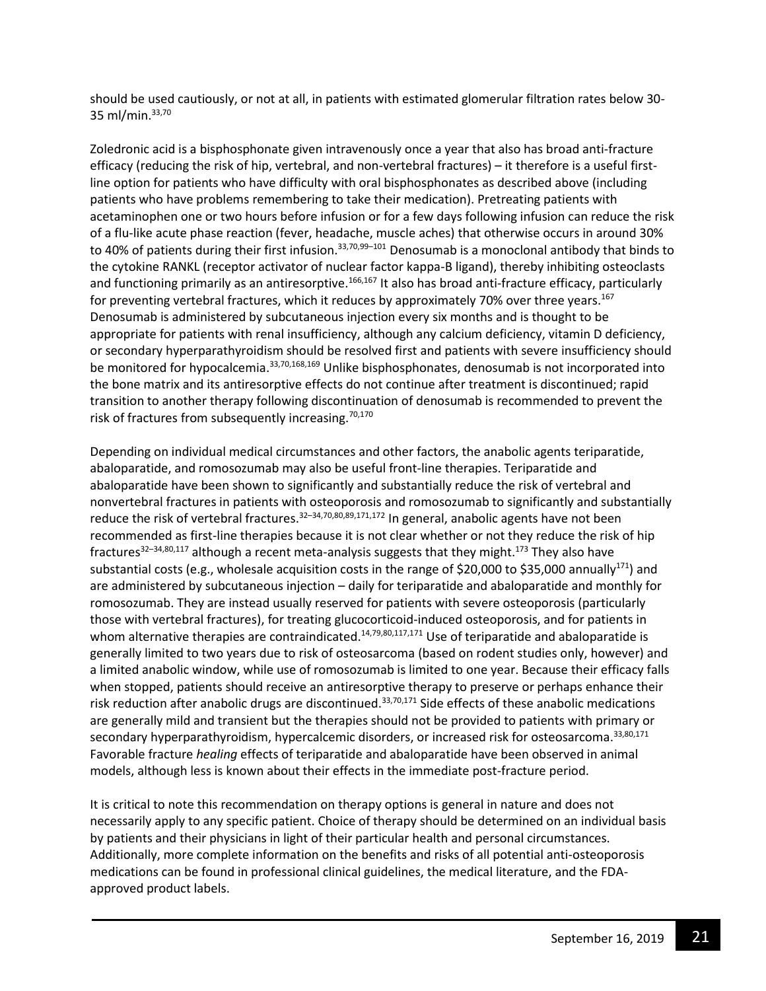should be used cautiously, or not at all, in patients with estimated glomerular filtration rates below 30- 35 ml/min.33,70

Zoledronic acid is a bisphosphonate given intravenously once a year that also has broad anti-fracture efficacy (reducing the risk of hip, vertebral, and non-vertebral fractures) – it therefore is a useful firstline option for patients who have difficulty with oral bisphosphonates as described above (including patients who have problems remembering to take their medication). Pretreating patients with acetaminophen one or two hours before infusion or for a few days following infusion can reduce the risk of a flu-like acute phase reaction (fever, headache, muscle aches) that otherwise occurs in around 30% to 40% of patients during their first infusion.<sup>33,70,99–101</sup> Denosumab is a monoclonal antibody that binds to the cytokine RANKL (receptor activator of nuclear factor kappa-B ligand), thereby inhibiting osteoclasts and functioning primarily as an antiresorptive.166,167 It also has broad anti-fracture efficacy, particularly for preventing vertebral fractures, which it reduces by approximately 70% over three years.<sup>167</sup> Denosumab is administered by subcutaneous injection every six months and is thought to be appropriate for patients with renal insufficiency, although any calcium deficiency, vitamin D deficiency, or secondary hyperparathyroidism should be resolved first and patients with severe insufficiency should be monitored for hypocalcemia.33,70,168,169 Unlike bisphosphonates, denosumab is not incorporated into the bone matrix and its antiresorptive effects do not continue after treatment is discontinued; rapid transition to another therapy following discontinuation of denosumab is recommended to prevent the risk of fractures from subsequently increasing. $70,170$ 

Depending on individual medical circumstances and other factors, the anabolic agents teriparatide, abaloparatide, and romosozumab may also be useful front-line therapies. Teriparatide and abaloparatide have been shown to significantly and substantially reduce the risk of vertebral and nonvertebral fractures in patients with osteoporosis and romosozumab to significantly and substantially reduce the risk of vertebral fractures.<sup>32–34,70,80,89,171,172</sup> In general, anabolic agents have not been recommended as first-line therapies because it is not clear whether or not they reduce the risk of hip fractures<sup>32–34,80,117</sup> although a recent meta-analysis suggests that they might.<sup>173</sup> They also have substantial costs (e.g., wholesale acquisition costs in the range of \$20,000 to \$35,000 annually<sup>171</sup>) and are administered by subcutaneous injection – daily for teriparatide and abaloparatide and monthly for romosozumab. They are instead usually reserved for patients with severe osteoporosis (particularly those with vertebral fractures), for treating glucocorticoid-induced osteoporosis, and for patients in whom alternative therapies are contraindicated.<sup>14,79,80,117,171</sup> Use of teriparatide and abaloparatide is generally limited to two years due to risk of osteosarcoma (based on rodent studies only, however) and a limited anabolic window, while use of romosozumab is limited to one year. Because their efficacy falls when stopped, patients should receive an antiresorptive therapy to preserve or perhaps enhance their risk reduction after anabolic drugs are discontinued.<sup>33,70,171</sup> Side effects of these anabolic medications are generally mild and transient but the therapies should not be provided to patients with primary or secondary hyperparathyroidism, hypercalcemic disorders, or increased risk for osteosarcoma. 33,80,171 Favorable fracture *healing* effects of teriparatide and abaloparatide have been observed in animal models, although less is known about their effects in the immediate post-fracture period.

It is critical to note this recommendation on therapy options is general in nature and does not necessarily apply to any specific patient. Choice of therapy should be determined on an individual basis by patients and their physicians in light of their particular health and personal circumstances. Additionally, more complete information on the benefits and risks of all potential anti-osteoporosis medications can be found in professional clinical guidelines, the medical literature, and the FDAapproved product labels.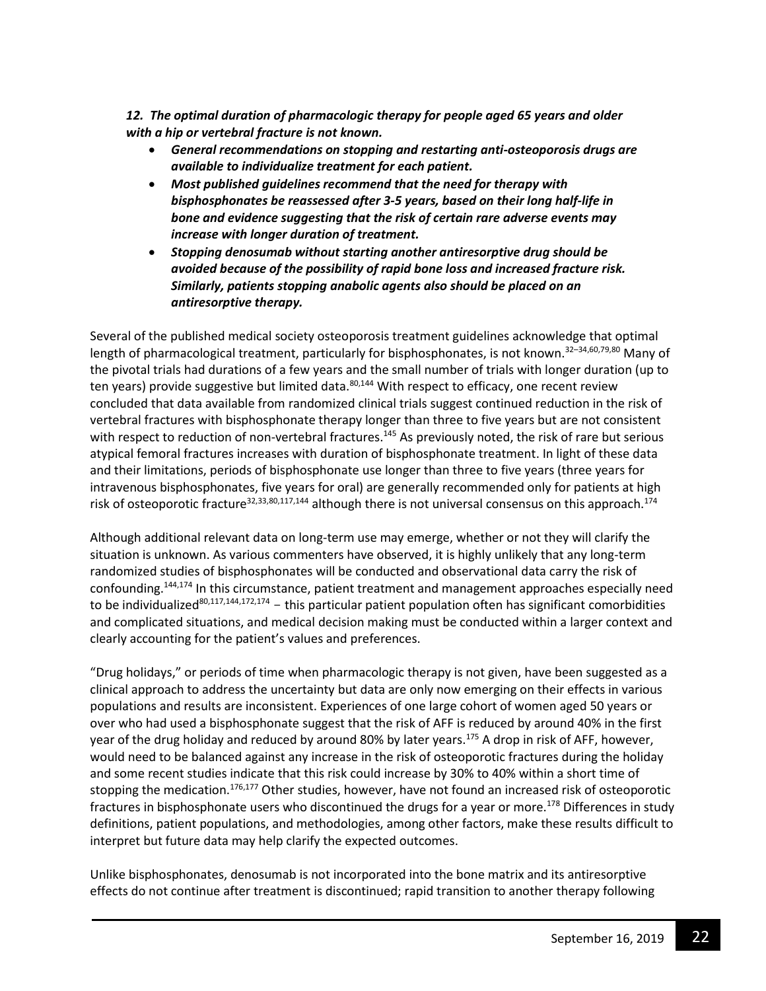*12. The optimal duration of pharmacologic therapy for people aged 65 years and older with a hip or vertebral fracture is not known.*

- *General recommendations on stopping and restarting anti-osteoporosis drugs are available to individualize treatment for each patient.*
- *Most published guidelines recommend that the need for therapy with bisphosphonates be reassessed after 3-5 years, based on their long half-life in bone and evidence suggesting that the risk of certain rare adverse events may increase with longer duration of treatment.*
- *Stopping denosumab without starting another antiresorptive drug should be avoided because of the possibility of rapid bone loss and increased fracture risk. Similarly, patients stopping anabolic agents also should be placed on an antiresorptive therapy.*

Several of the published medical society osteoporosis treatment guidelines acknowledge that optimal length of pharmacological treatment, particularly for bisphosphonates, is not known.<sup>32–34,60,79,80</sup> Many of the pivotal trials had durations of a few years and the small number of trials with longer duration (up to ten years) provide suggestive but limited data.<sup>80,144</sup> With respect to efficacy, one recent review concluded that data available from randomized clinical trials suggest continued reduction in the risk of vertebral fractures with bisphosphonate therapy longer than three to five years but are not consistent with respect to reduction of non-vertebral fractures.<sup>145</sup> As previously noted, the risk of rare but serious atypical femoral fractures increases with duration of bisphosphonate treatment. In light of these data and their limitations, periods of bisphosphonate use longer than three to five years (three years for intravenous bisphosphonates, five years for oral) are generally recommended only for patients at high risk of osteoporotic fracture<sup>32,33,80,117,144</sup> although there is not universal consensus on this approach.<sup>174</sup>

Although additional relevant data on long-term use may emerge, whether or not they will clarify the situation is unknown. As various commenters have observed, it is highly unlikely that any long-term randomized studies of bisphosphonates will be conducted and observational data carry the risk of confounding.144,174 In this circumstance, patient treatment and management approaches especially need to be individualized<sup>80,117,144,172,174</sup> - this particular patient population often has significant comorbidities and complicated situations, and medical decision making must be conducted within a larger context and clearly accounting for the patient's values and preferences.

"Drug holidays," or periods of time when pharmacologic therapy is not given, have been suggested as a clinical approach to address the uncertainty but data are only now emerging on their effects in various populations and results are inconsistent. Experiences of one large cohort of women aged 50 years or over who had used a bisphosphonate suggest that the risk of AFF is reduced by around 40% in the first year of the drug holiday and reduced by around 80% by later years.<sup>175</sup> A drop in risk of AFF, however, would need to be balanced against any increase in the risk of osteoporotic fractures during the holiday and some recent studies indicate that this risk could increase by 30% to 40% within a short time of stopping the medication.<sup>176,177</sup> Other studies, however, have not found an increased risk of osteoporotic fractures in bisphosphonate users who discontinued the drugs for a year or more.<sup>178</sup> Differences in study definitions, patient populations, and methodologies, among other factors, make these results difficult to interpret but future data may help clarify the expected outcomes.

Unlike bisphosphonates, denosumab is not incorporated into the bone matrix and its antiresorptive effects do not continue after treatment is discontinued; rapid transition to another therapy following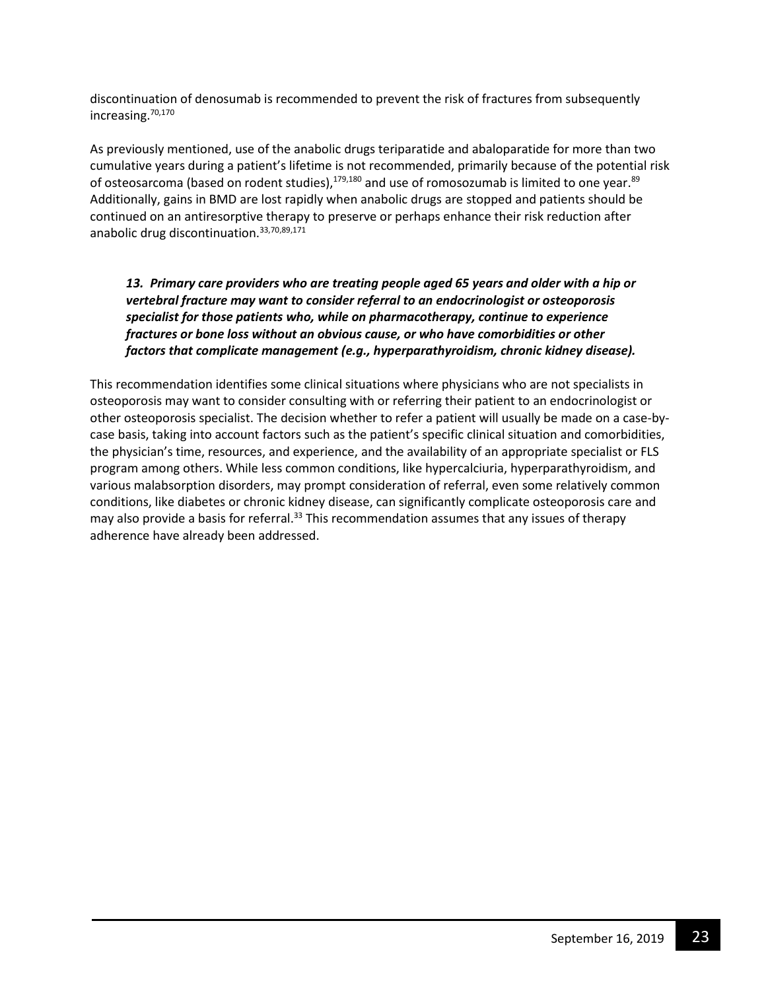discontinuation of denosumab is recommended to prevent the risk of fractures from subsequently increasing.70,170

As previously mentioned, use of the anabolic drugs teriparatide and abaloparatide for more than two cumulative years during a patient's lifetime is not recommended, primarily because of the potential risk of osteosarcoma (based on rodent studies),<sup>179,180</sup> and use of romosozumab is limited to one year.<sup>89</sup> Additionally, gains in BMD are lost rapidly when anabolic drugs are stopped and patients should be continued on an antiresorptive therapy to preserve or perhaps enhance their risk reduction after anabolic drug discontinuation.<sup>33,70,89,171</sup>

## *13. Primary care providers who are treating people aged 65 years and older with a hip or vertebral fracture may want to consider referral to an endocrinologist or osteoporosis specialist for those patients who, while on pharmacotherapy, continue to experience fractures or bone loss without an obvious cause, or who have comorbidities or other factors that complicate management (e.g., hyperparathyroidism, chronic kidney disease).*

This recommendation identifies some clinical situations where physicians who are not specialists in osteoporosis may want to consider consulting with or referring their patient to an endocrinologist or other osteoporosis specialist. The decision whether to refer a patient will usually be made on a case-bycase basis, taking into account factors such as the patient's specific clinical situation and comorbidities, the physician's time, resources, and experience, and the availability of an appropriate specialist or FLS program among others. While less common conditions, like hypercalciuria, hyperparathyroidism, and various malabsorption disorders, may prompt consideration of referral, even some relatively common conditions, like diabetes or chronic kidney disease, can significantly complicate osteoporosis care and may also provide a basis for referral. $33$  This recommendation assumes that any issues of therapy adherence have already been addressed.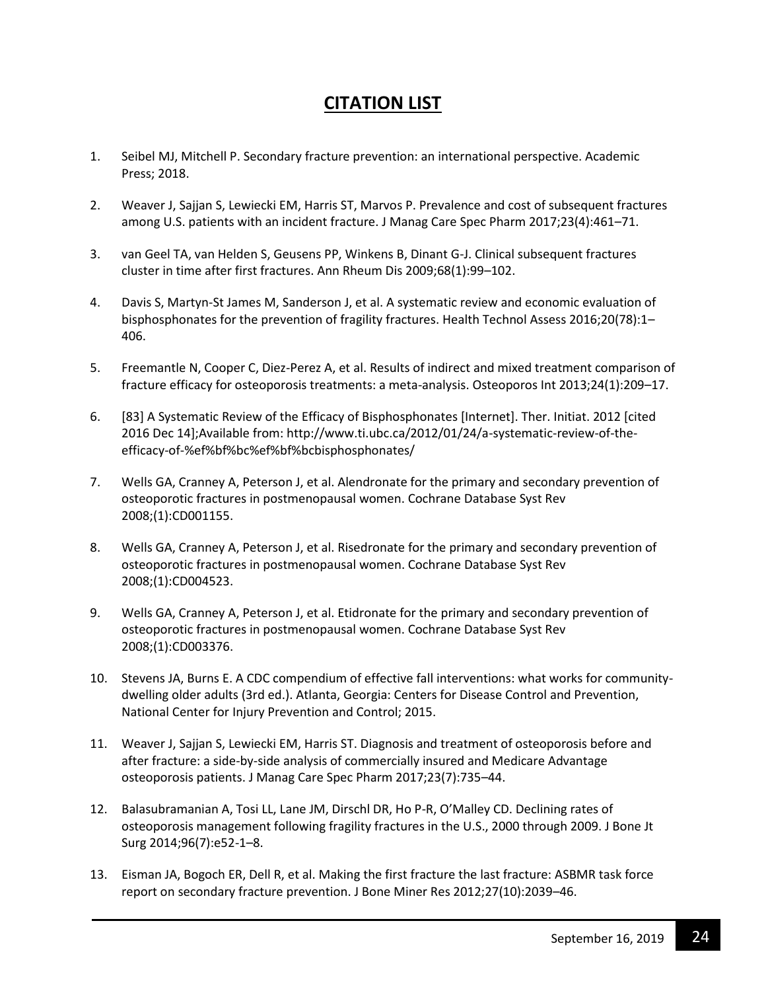# **CITATION LIST**

- 1. Seibel MJ, Mitchell P. Secondary fracture prevention: an international perspective. Academic Press; 2018.
- 2. Weaver J, Sajjan S, Lewiecki EM, Harris ST, Marvos P. Prevalence and cost of subsequent fractures among U.S. patients with an incident fracture. J Manag Care Spec Pharm 2017;23(4):461–71.
- 3. van Geel TA, van Helden S, Geusens PP, Winkens B, Dinant G-J. Clinical subsequent fractures cluster in time after first fractures. Ann Rheum Dis 2009;68(1):99–102.
- 4. Davis S, Martyn-St James M, Sanderson J, et al. A systematic review and economic evaluation of bisphosphonates for the prevention of fragility fractures. Health Technol Assess 2016;20(78):1– 406.
- 5. Freemantle N, Cooper C, Diez-Perez A, et al. Results of indirect and mixed treatment comparison of fracture efficacy for osteoporosis treatments: a meta-analysis. Osteoporos Int 2013;24(1):209–17.
- 6. [83] A Systematic Review of the Efficacy of Bisphosphonates [Internet]. Ther. Initiat. 2012 [cited 2016 Dec 14];Available from: http://www.ti.ubc.ca/2012/01/24/a-systematic-review-of-theefficacy-of-%ef%bf%bc%ef%bf%bcbisphosphonates/
- 7. Wells GA, Cranney A, Peterson J, et al. Alendronate for the primary and secondary prevention of osteoporotic fractures in postmenopausal women. Cochrane Database Syst Rev 2008;(1):CD001155.
- 8. Wells GA, Cranney A, Peterson J, et al. Risedronate for the primary and secondary prevention of osteoporotic fractures in postmenopausal women. Cochrane Database Syst Rev 2008;(1):CD004523.
- 9. Wells GA, Cranney A, Peterson J, et al. Etidronate for the primary and secondary prevention of osteoporotic fractures in postmenopausal women. Cochrane Database Syst Rev 2008;(1):CD003376.
- 10. Stevens JA, Burns E. A CDC compendium of effective fall interventions: what works for communitydwelling older adults (3rd ed.). Atlanta, Georgia: Centers for Disease Control and Prevention, National Center for Injury Prevention and Control; 2015.
- 11. Weaver J, Sajjan S, Lewiecki EM, Harris ST. Diagnosis and treatment of osteoporosis before and after fracture: a side-by-side analysis of commercially insured and Medicare Advantage osteoporosis patients. J Manag Care Spec Pharm 2017;23(7):735–44.
- 12. Balasubramanian A, Tosi LL, Lane JM, Dirschl DR, Ho P-R, O'Malley CD. Declining rates of osteoporosis management following fragility fractures in the U.S., 2000 through 2009. J Bone Jt Surg 2014;96(7):e52-1–8.
- 13. Eisman JA, Bogoch ER, Dell R, et al. Making the first fracture the last fracture: ASBMR task force report on secondary fracture prevention. J Bone Miner Res 2012;27(10):2039–46.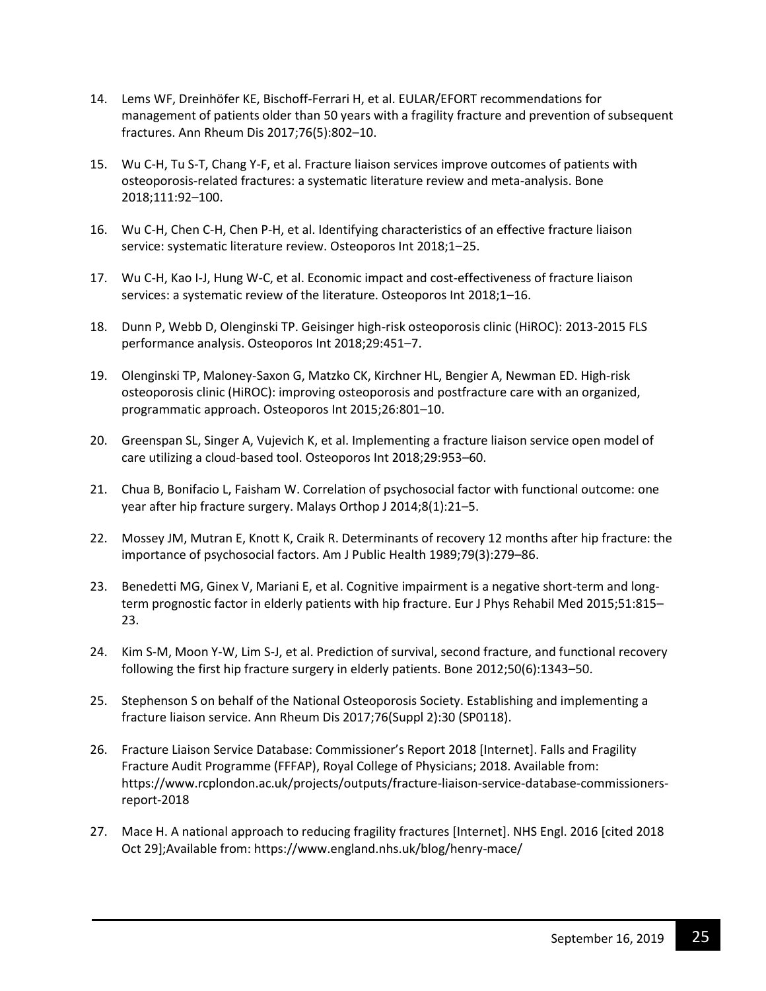- 14. Lems WF, Dreinhöfer KE, Bischoff-Ferrari H, et al. EULAR/EFORT recommendations for management of patients older than 50 years with a fragility fracture and prevention of subsequent fractures. Ann Rheum Dis 2017;76(5):802–10.
- 15. Wu C-H, Tu S-T, Chang Y-F, et al. Fracture liaison services improve outcomes of patients with osteoporosis-related fractures: a systematic literature review and meta-analysis. Bone 2018;111:92–100.
- 16. Wu C-H, Chen C-H, Chen P-H, et al. Identifying characteristics of an effective fracture liaison service: systematic literature review. Osteoporos Int 2018;1–25.
- 17. Wu C-H, Kao I-J, Hung W-C, et al. Economic impact and cost-effectiveness of fracture liaison services: a systematic review of the literature. Osteoporos Int 2018;1–16.
- 18. Dunn P, Webb D, Olenginski TP. Geisinger high-risk osteoporosis clinic (HiROC): 2013-2015 FLS performance analysis. Osteoporos Int 2018;29:451–7.
- 19. Olenginski TP, Maloney-Saxon G, Matzko CK, Kirchner HL, Bengier A, Newman ED. High-risk osteoporosis clinic (HiROC): improving osteoporosis and postfracture care with an organized, programmatic approach. Osteoporos Int 2015;26:801–10.
- 20. Greenspan SL, Singer A, Vujevich K, et al. Implementing a fracture liaison service open model of care utilizing a cloud-based tool. Osteoporos Int 2018;29:953–60.
- 21. Chua B, Bonifacio L, Faisham W. Correlation of psychosocial factor with functional outcome: one year after hip fracture surgery. Malays Orthop J 2014;8(1):21–5.
- 22. Mossey JM, Mutran E, Knott K, Craik R. Determinants of recovery 12 months after hip fracture: the importance of psychosocial factors. Am J Public Health 1989;79(3):279–86.
- 23. Benedetti MG, Ginex V, Mariani E, et al. Cognitive impairment is a negative short-term and longterm prognostic factor in elderly patients with hip fracture. Eur J Phys Rehabil Med 2015;51:815– 23.
- 24. Kim S-M, Moon Y-W, Lim S-J, et al. Prediction of survival, second fracture, and functional recovery following the first hip fracture surgery in elderly patients. Bone 2012;50(6):1343–50.
- 25. Stephenson S on behalf of the National Osteoporosis Society. Establishing and implementing a fracture liaison service. Ann Rheum Dis 2017;76(Suppl 2):30 (SP0118).
- 26. Fracture Liaison Service Database: Commissioner's Report 2018 [Internet]. Falls and Fragility Fracture Audit Programme (FFFAP), Royal College of Physicians; 2018. Available from: https://www.rcplondon.ac.uk/projects/outputs/fracture-liaison-service-database-commissionersreport-2018
- 27. Mace H. A national approach to reducing fragility fractures [Internet]. NHS Engl. 2016 [cited 2018 Oct 29];Available from: https://www.england.nhs.uk/blog/henry-mace/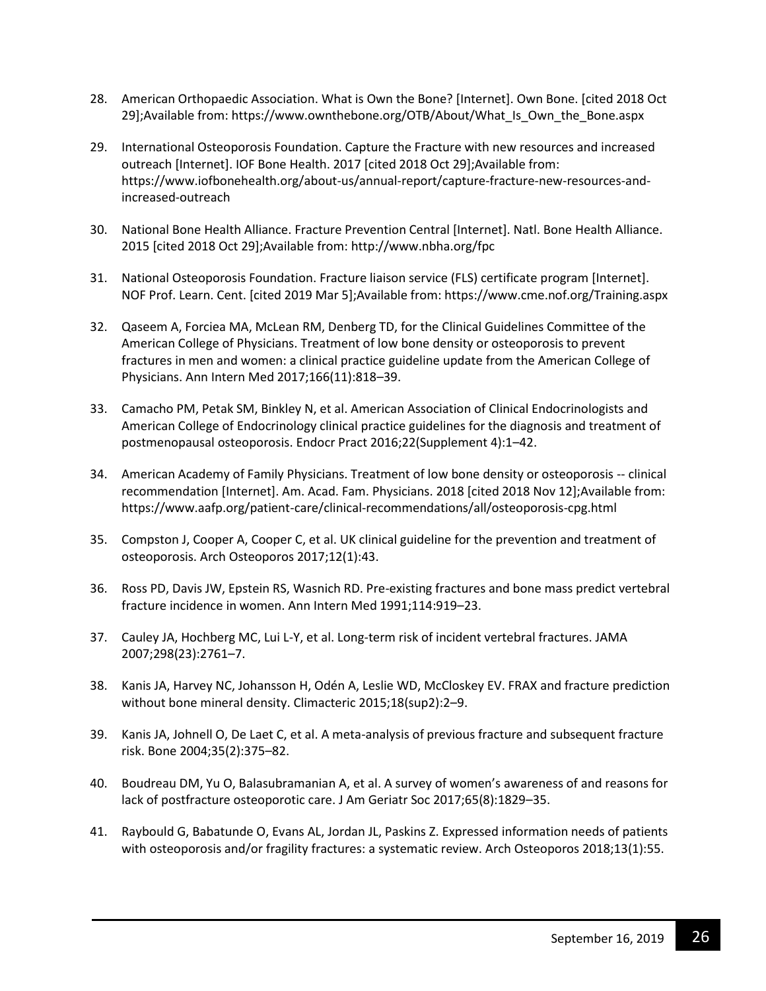- 28. American Orthopaedic Association. What is Own the Bone? [Internet]. Own Bone. [cited 2018 Oct 29];Available from: https://www.ownthebone.org/OTB/About/What\_Is\_Own\_the\_Bone.aspx
- 29. International Osteoporosis Foundation. Capture the Fracture with new resources and increased outreach [Internet]. IOF Bone Health. 2017 [cited 2018 Oct 29];Available from: https://www.iofbonehealth.org/about-us/annual-report/capture-fracture-new-resources-andincreased-outreach
- 30. National Bone Health Alliance. Fracture Prevention Central [Internet]. Natl. Bone Health Alliance. 2015 [cited 2018 Oct 29];Available from: http://www.nbha.org/fpc
- 31. National Osteoporosis Foundation. Fracture liaison service (FLS) certificate program [Internet]. NOF Prof. Learn. Cent. [cited 2019 Mar 5];Available from: https://www.cme.nof.org/Training.aspx
- 32. Qaseem A, Forciea MA, McLean RM, Denberg TD, for the Clinical Guidelines Committee of the American College of Physicians. Treatment of low bone density or osteoporosis to prevent fractures in men and women: a clinical practice guideline update from the American College of Physicians. Ann Intern Med 2017;166(11):818–39.
- 33. Camacho PM, Petak SM, Binkley N, et al. American Association of Clinical Endocrinologists and American College of Endocrinology clinical practice guidelines for the diagnosis and treatment of postmenopausal osteoporosis. Endocr Pract 2016;22(Supplement 4):1–42.
- 34. American Academy of Family Physicians. Treatment of low bone density or osteoporosis -- clinical recommendation [Internet]. Am. Acad. Fam. Physicians. 2018 [cited 2018 Nov 12];Available from: https://www.aafp.org/patient-care/clinical-recommendations/all/osteoporosis-cpg.html
- 35. Compston J, Cooper A, Cooper C, et al. UK clinical guideline for the prevention and treatment of osteoporosis. Arch Osteoporos 2017;12(1):43.
- 36. Ross PD, Davis JW, Epstein RS, Wasnich RD. Pre-existing fractures and bone mass predict vertebral fracture incidence in women. Ann Intern Med 1991;114:919–23.
- 37. Cauley JA, Hochberg MC, Lui L-Y, et al. Long-term risk of incident vertebral fractures. JAMA 2007;298(23):2761–7.
- 38. Kanis JA, Harvey NC, Johansson H, Odén A, Leslie WD, McCloskey EV. FRAX and fracture prediction without bone mineral density. Climacteric 2015;18(sup2):2–9.
- 39. Kanis JA, Johnell O, De Laet C, et al. A meta-analysis of previous fracture and subsequent fracture risk. Bone 2004;35(2):375–82.
- 40. Boudreau DM, Yu O, Balasubramanian A, et al. A survey of women's awareness of and reasons for lack of postfracture osteoporotic care. J Am Geriatr Soc 2017;65(8):1829–35.
- 41. Raybould G, Babatunde O, Evans AL, Jordan JL, Paskins Z. Expressed information needs of patients with osteoporosis and/or fragility fractures: a systematic review. Arch Osteoporos 2018;13(1):55.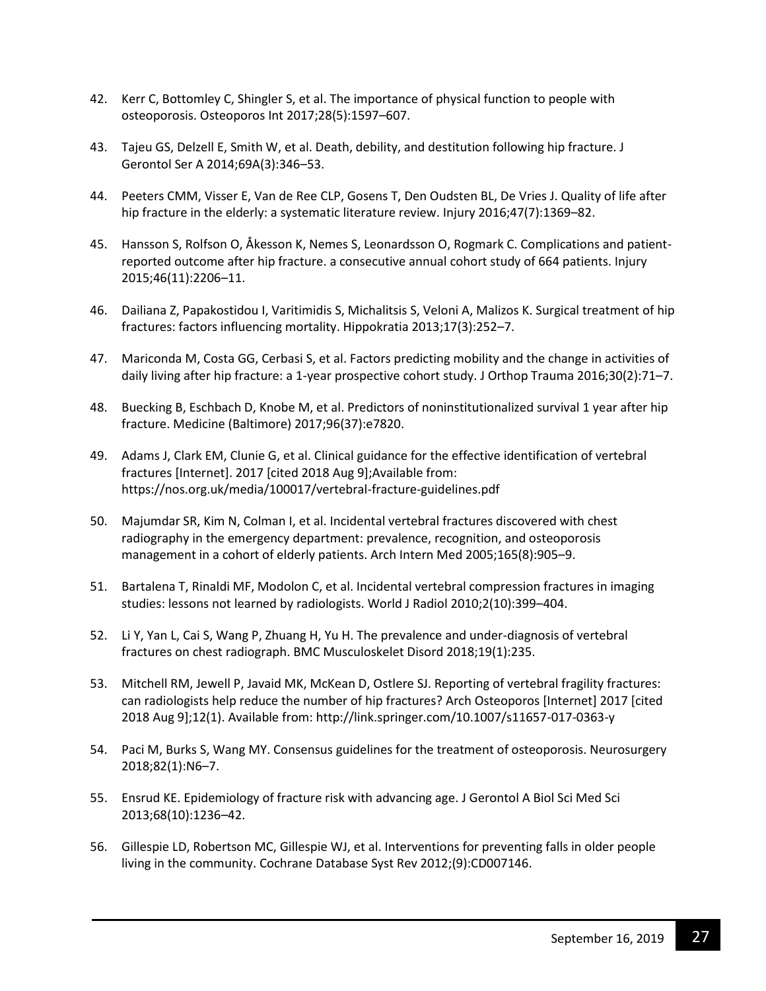- 42. Kerr C, Bottomley C, Shingler S, et al. The importance of physical function to people with osteoporosis. Osteoporos Int 2017;28(5):1597–607.
- 43. Tajeu GS, Delzell E, Smith W, et al. Death, debility, and destitution following hip fracture. J Gerontol Ser A 2014;69A(3):346–53.
- 44. Peeters CMM, Visser E, Van de Ree CLP, Gosens T, Den Oudsten BL, De Vries J. Quality of life after hip fracture in the elderly: a systematic literature review. Injury 2016;47(7):1369–82.
- 45. Hansson S, Rolfson O, Åkesson K, Nemes S, Leonardsson O, Rogmark C. Complications and patientreported outcome after hip fracture. a consecutive annual cohort study of 664 patients. Injury 2015;46(11):2206–11.
- 46. Dailiana Z, Papakostidou I, Varitimidis S, Michalitsis S, Veloni A, Malizos K. Surgical treatment of hip fractures: factors influencing mortality. Hippokratia 2013;17(3):252–7.
- 47. Mariconda M, Costa GG, Cerbasi S, et al. Factors predicting mobility and the change in activities of daily living after hip fracture: a 1-year prospective cohort study. J Orthop Trauma 2016;30(2):71–7.
- 48. Buecking B, Eschbach D, Knobe M, et al. Predictors of noninstitutionalized survival 1 year after hip fracture. Medicine (Baltimore) 2017;96(37):e7820.
- 49. Adams J, Clark EM, Clunie G, et al. Clinical guidance for the effective identification of vertebral fractures [Internet]. 2017 [cited 2018 Aug 9];Available from: https://nos.org.uk/media/100017/vertebral-fracture-guidelines.pdf
- 50. Majumdar SR, Kim N, Colman I, et al. Incidental vertebral fractures discovered with chest radiography in the emergency department: prevalence, recognition, and osteoporosis management in a cohort of elderly patients. Arch Intern Med 2005;165(8):905–9.
- 51. Bartalena T, Rinaldi MF, Modolon C, et al. Incidental vertebral compression fractures in imaging studies: lessons not learned by radiologists. World J Radiol 2010;2(10):399–404.
- 52. Li Y, Yan L, Cai S, Wang P, Zhuang H, Yu H. The prevalence and under-diagnosis of vertebral fractures on chest radiograph. BMC Musculoskelet Disord 2018;19(1):235.
- 53. Mitchell RM, Jewell P, Javaid MK, McKean D, Ostlere SJ. Reporting of vertebral fragility fractures: can radiologists help reduce the number of hip fractures? Arch Osteoporos [Internet] 2017 [cited 2018 Aug 9];12(1). Available from: http://link.springer.com/10.1007/s11657-017-0363-y
- 54. Paci M, Burks S, Wang MY. Consensus guidelines for the treatment of osteoporosis. Neurosurgery 2018;82(1):N6–7.
- 55. Ensrud KE. Epidemiology of fracture risk with advancing age. J Gerontol A Biol Sci Med Sci 2013;68(10):1236–42.
- 56. Gillespie LD, Robertson MC, Gillespie WJ, et al. Interventions for preventing falls in older people living in the community. Cochrane Database Syst Rev 2012;(9):CD007146.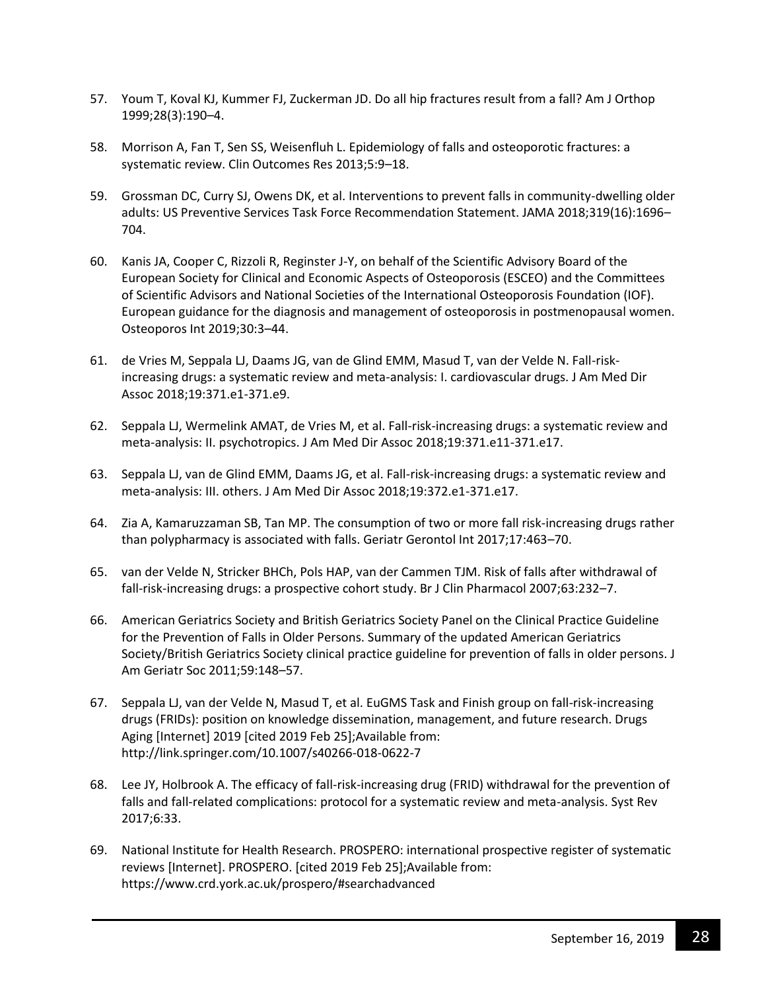- 57. Youm T, Koval KJ, Kummer FJ, Zuckerman JD. Do all hip fractures result from a fall? Am J Orthop 1999;28(3):190–4.
- 58. Morrison A, Fan T, Sen SS, Weisenfluh L. Epidemiology of falls and osteoporotic fractures: a systematic review. Clin Outcomes Res 2013;5:9–18.
- 59. Grossman DC, Curry SJ, Owens DK, et al. Interventions to prevent falls in community-dwelling older adults: US Preventive Services Task Force Recommendation Statement. JAMA 2018;319(16):1696– 704.
- 60. Kanis JA, Cooper C, Rizzoli R, Reginster J-Y, on behalf of the Scientific Advisory Board of the European Society for Clinical and Economic Aspects of Osteoporosis (ESCEO) and the Committees of Scientific Advisors and National Societies of the International Osteoporosis Foundation (IOF). European guidance for the diagnosis and management of osteoporosis in postmenopausal women. Osteoporos Int 2019;30:3–44.
- 61. de Vries M, Seppala LJ, Daams JG, van de Glind EMM, Masud T, van der Velde N. Fall-riskincreasing drugs: a systematic review and meta-analysis: I. cardiovascular drugs. J Am Med Dir Assoc 2018;19:371.e1-371.e9.
- 62. Seppala LJ, Wermelink AMAT, de Vries M, et al. Fall-risk-increasing drugs: a systematic review and meta-analysis: II. psychotropics. J Am Med Dir Assoc 2018;19:371.e11-371.e17.
- 63. Seppala LJ, van de Glind EMM, Daams JG, et al. Fall-risk-increasing drugs: a systematic review and meta-analysis: III. others. J Am Med Dir Assoc 2018;19:372.e1-371.e17.
- 64. Zia A, Kamaruzzaman SB, Tan MP. The consumption of two or more fall risk‐increasing drugs rather than polypharmacy is associated with falls. Geriatr Gerontol Int 2017;17:463–70.
- 65. van der Velde N, Stricker BHCh, Pols HAP, van der Cammen TJM. Risk of falls after withdrawal of fall-risk-increasing drugs: a prospective cohort study. Br J Clin Pharmacol 2007;63:232–7.
- 66. American Geriatrics Society and British Geriatrics Society Panel on the Clinical Practice Guideline for the Prevention of Falls in Older Persons. Summary of the updated American Geriatrics Society/British Geriatrics Society clinical practice guideline for prevention of falls in older persons. J Am Geriatr Soc 2011;59:148–57.
- 67. Seppala LJ, van der Velde N, Masud T, et al. EuGMS Task and Finish group on fall-risk-increasing drugs (FRIDs): position on knowledge dissemination, management, and future research. Drugs Aging [Internet] 2019 [cited 2019 Feb 25];Available from: http://link.springer.com/10.1007/s40266-018-0622-7
- 68. Lee JY, Holbrook A. The efficacy of fall-risk-increasing drug (FRID) withdrawal for the prevention of falls and fall-related complications: protocol for a systematic review and meta-analysis. Syst Rev 2017;6:33.
- 69. National Institute for Health Research. PROSPERO: international prospective register of systematic reviews [Internet]. PROSPERO. [cited 2019 Feb 25];Available from: https://www.crd.york.ac.uk/prospero/#searchadvanced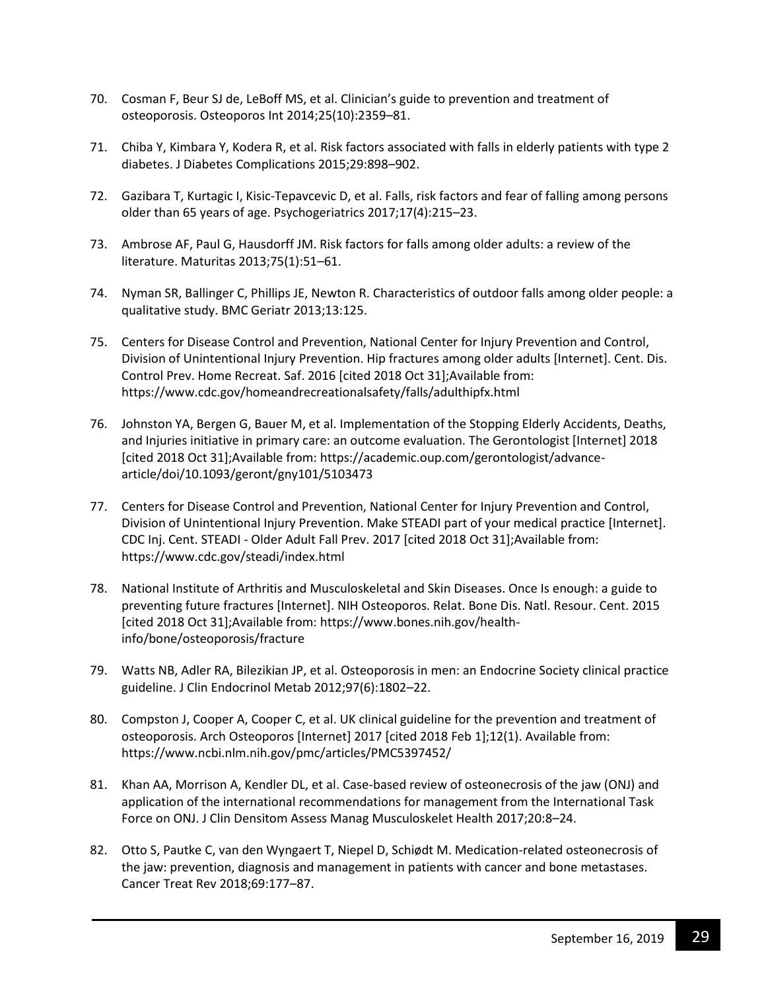- 70. Cosman F, Beur SJ de, LeBoff MS, et al. Clinician's guide to prevention and treatment of osteoporosis. Osteoporos Int 2014;25(10):2359–81.
- 71. Chiba Y, Kimbara Y, Kodera R, et al. Risk factors associated with falls in elderly patients with type 2 diabetes. J Diabetes Complications 2015;29:898–902.
- 72. Gazibara T, Kurtagic I, Kisic‐Tepavcevic D, et al. Falls, risk factors and fear of falling among persons older than 65 years of age. Psychogeriatrics 2017;17(4):215–23.
- 73. Ambrose AF, Paul G, Hausdorff JM. Risk factors for falls among older adults: a review of the literature. Maturitas 2013;75(1):51–61.
- 74. Nyman SR, Ballinger C, Phillips JE, Newton R. Characteristics of outdoor falls among older people: a qualitative study. BMC Geriatr 2013;13:125.
- 75. Centers for Disease Control and Prevention, National Center for Injury Prevention and Control, Division of Unintentional Injury Prevention. Hip fractures among older adults [Internet]. Cent. Dis. Control Prev. Home Recreat. Saf. 2016 [cited 2018 Oct 31];Available from: https://www.cdc.gov/homeandrecreationalsafety/falls/adulthipfx.html
- 76. Johnston YA, Bergen G, Bauer M, et al. Implementation of the Stopping Elderly Accidents, Deaths, and Injuries initiative in primary care: an outcome evaluation. The Gerontologist [Internet] 2018 [cited 2018 Oct 31];Available from: https://academic.oup.com/gerontologist/advancearticle/doi/10.1093/geront/gny101/5103473
- 77. Centers for Disease Control and Prevention, National Center for Injury Prevention and Control, Division of Unintentional Injury Prevention. Make STEADI part of your medical practice [Internet]. CDC Inj. Cent. STEADI - Older Adult Fall Prev. 2017 [cited 2018 Oct 31];Available from: https://www.cdc.gov/steadi/index.html
- 78. National Institute of Arthritis and Musculoskeletal and Skin Diseases. Once Is enough: a guide to preventing future fractures [Internet]. NIH Osteoporos. Relat. Bone Dis. Natl. Resour. Cent. 2015 [cited 2018 Oct 31];Available from: https://www.bones.nih.gov/healthinfo/bone/osteoporosis/fracture
- 79. Watts NB, Adler RA, Bilezikian JP, et al. Osteoporosis in men: an Endocrine Society clinical practice guideline. J Clin Endocrinol Metab 2012;97(6):1802–22.
- 80. Compston J, Cooper A, Cooper C, et al. UK clinical guideline for the prevention and treatment of osteoporosis. Arch Osteoporos [Internet] 2017 [cited 2018 Feb 1];12(1). Available from: https://www.ncbi.nlm.nih.gov/pmc/articles/PMC5397452/
- 81. Khan AA, Morrison A, Kendler DL, et al. Case-based review of osteonecrosis of the jaw (ONJ) and application of the international recommendations for management from the International Task Force on ONJ. J Clin Densitom Assess Manag Musculoskelet Health 2017;20:8–24.
- 82. Otto S, Pautke C, van den Wyngaert T, Niepel D, Schiødt M. Medication-related osteonecrosis of the jaw: prevention, diagnosis and management in patients with cancer and bone metastases. Cancer Treat Rev 2018;69:177–87.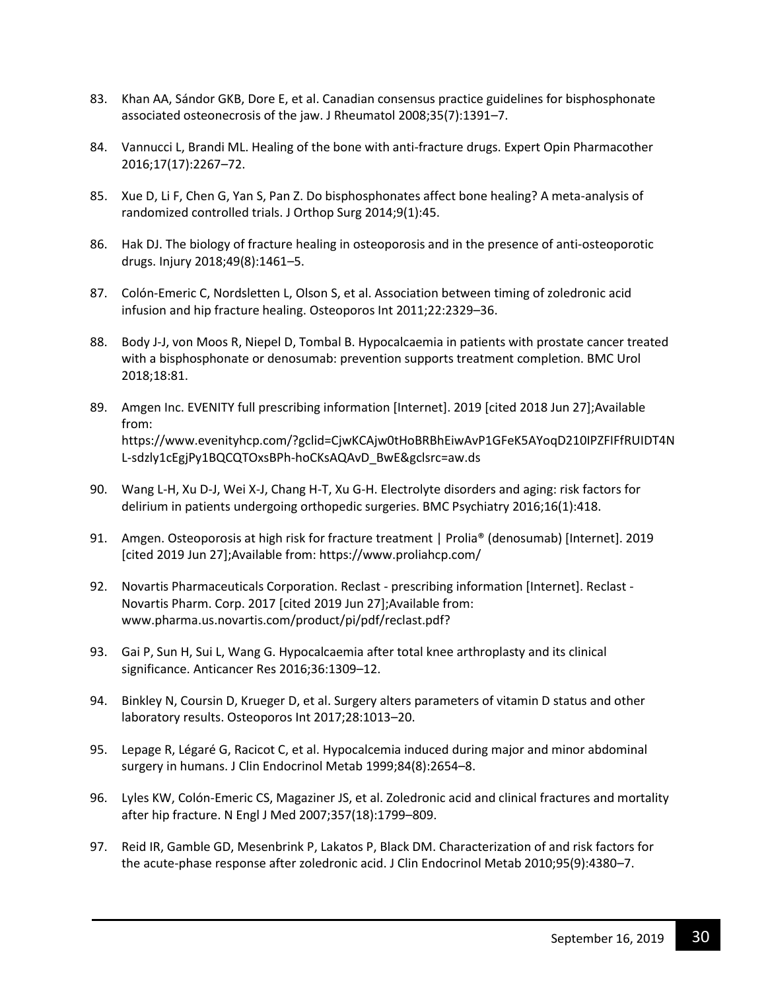- 83. Khan AA, Sándor GKB, Dore E, et al. Canadian consensus practice guidelines for bisphosphonate associated osteonecrosis of the jaw. J Rheumatol 2008;35(7):1391–7.
- 84. Vannucci L, Brandi ML. Healing of the bone with anti-fracture drugs. Expert Opin Pharmacother 2016;17(17):2267–72.
- 85. Xue D, Li F, Chen G, Yan S, Pan Z. Do bisphosphonates affect bone healing? A meta-analysis of randomized controlled trials. J Orthop Surg 2014;9(1):45.
- 86. Hak DJ. The biology of fracture healing in osteoporosis and in the presence of anti-osteoporotic drugs. Injury 2018;49(8):1461–5.
- 87. Colón-Emeric C, Nordsletten L, Olson S, et al. Association between timing of zoledronic acid infusion and hip fracture healing. Osteoporos Int 2011;22:2329–36.
- 88. Body J-J, von Moos R, Niepel D, Tombal B. Hypocalcaemia in patients with prostate cancer treated with a bisphosphonate or denosumab: prevention supports treatment completion. BMC Urol 2018;18:81.
- 89. Amgen Inc. EVENITY full prescribing information [Internet]. 2019 [cited 2018 Jun 27];Available from: https://www.evenityhcp.com/?gclid=CjwKCAjw0tHoBRBhEiwAvP1GFeK5AYoqD210IPZFIFfRUIDT4N L-sdzly1cEgjPy1BQCQTOxsBPh-hoCKsAQAvD\_BwE&gclsrc=aw.ds
- 90. Wang L-H, Xu D-J, Wei X-J, Chang H-T, Xu G-H. Electrolyte disorders and aging: risk factors for delirium in patients undergoing orthopedic surgeries. BMC Psychiatry 2016;16(1):418.
- 91. Amgen. Osteoporosis at high risk for fracture treatment | Prolia® (denosumab) [Internet]. 2019 [cited 2019 Jun 27];Available from: https://www.proliahcp.com/
- 92. Novartis Pharmaceuticals Corporation. Reclast prescribing information [Internet]. Reclast Novartis Pharm. Corp. 2017 [cited 2019 Jun 27];Available from: www.pharma.us.novartis.com/product/pi/pdf/reclast.pdf?
- 93. Gai P, Sun H, Sui L, Wang G. Hypocalcaemia after total knee arthroplasty and its clinical significance. Anticancer Res 2016;36:1309–12.
- 94. Binkley N, Coursin D, Krueger D, et al. Surgery alters parameters of vitamin D status and other laboratory results. Osteoporos Int 2017;28:1013–20.
- 95. Lepage R, Légaré G, Racicot C, et al. Hypocalcemia induced during major and minor abdominal surgery in humans. J Clin Endocrinol Metab 1999;84(8):2654–8.
- 96. Lyles KW, Colón-Emeric CS, Magaziner JS, et al. Zoledronic acid and clinical fractures and mortality after hip fracture. N Engl J Med 2007;357(18):1799–809.
- 97. Reid IR, Gamble GD, Mesenbrink P, Lakatos P, Black DM. Characterization of and risk factors for the acute-phase response after zoledronic acid. J Clin Endocrinol Metab 2010;95(9):4380–7.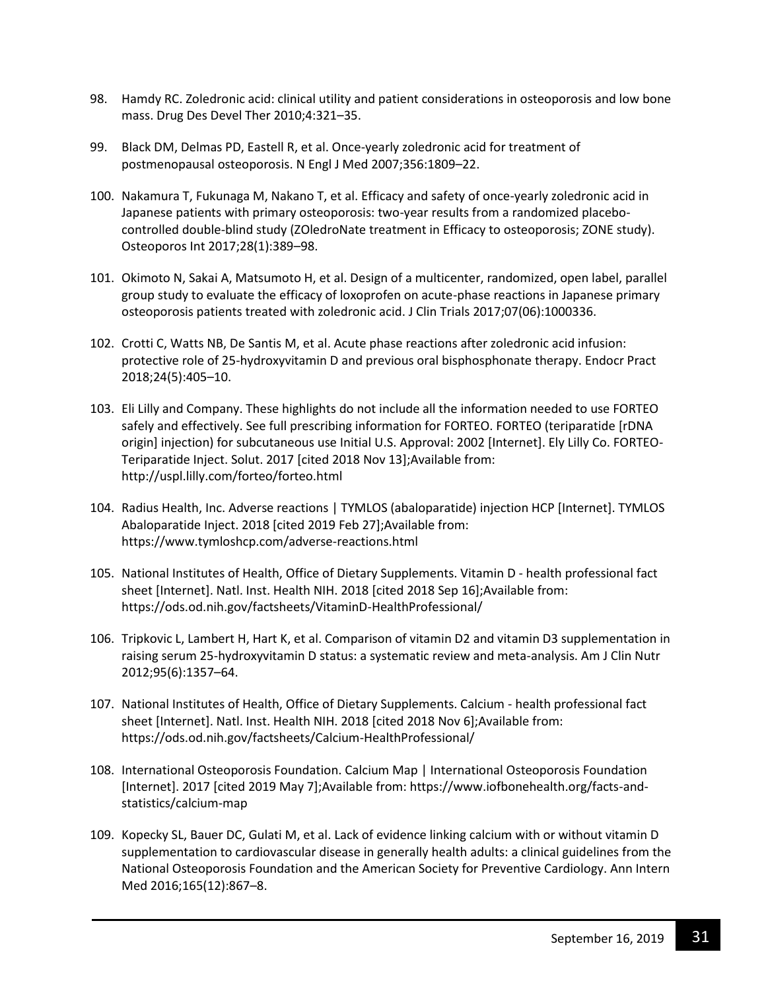- 98. Hamdy RC. Zoledronic acid: clinical utility and patient considerations in osteoporosis and low bone mass. Drug Des Devel Ther 2010;4:321–35.
- 99. Black DM, Delmas PD, Eastell R, et al. Once-yearly zoledronic acid for treatment of postmenopausal osteoporosis. N Engl J Med 2007;356:1809–22.
- 100. Nakamura T, Fukunaga M, Nakano T, et al. Efficacy and safety of once-yearly zoledronic acid in Japanese patients with primary osteoporosis: two-year results from a randomized placebocontrolled double-blind study (ZOledroNate treatment in Efficacy to osteoporosis; ZONE study). Osteoporos Int 2017;28(1):389–98.
- 101. Okimoto N, Sakai A, Matsumoto H, et al. Design of a multicenter, randomized, open label, parallel group study to evaluate the efficacy of loxoprofen on acute-phase reactions in Japanese primary osteoporosis patients treated with zoledronic acid. J Clin Trials 2017;07(06):1000336.
- 102. Crotti C, Watts NB, De Santis M, et al. Acute phase reactions after zoledronic acid infusion: protective role of 25-hydroxyvitamin D and previous oral bisphosphonate therapy. Endocr Pract 2018;24(5):405–10.
- 103. Eli Lilly and Company. These highlights do not include all the information needed to use FORTEO safely and effectively. See full prescribing information for FORTEO. FORTEO (teriparatide [rDNA origin] injection) for subcutaneous use Initial U.S. Approval: 2002 [Internet]. Ely Lilly Co. FORTEO-Teriparatide Inject. Solut. 2017 [cited 2018 Nov 13];Available from: http://uspl.lilly.com/forteo/forteo.html
- 104. Radius Health, Inc. Adverse reactions | TYMLOS (abaloparatide) injection HCP [Internet]. TYMLOS Abaloparatide Inject. 2018 [cited 2019 Feb 27];Available from: https://www.tymloshcp.com/adverse-reactions.html
- 105. National Institutes of Health, Office of Dietary Supplements. Vitamin D health professional fact sheet [Internet]. Natl. Inst. Health NIH. 2018 [cited 2018 Sep 16];Available from: https://ods.od.nih.gov/factsheets/VitaminD-HealthProfessional/
- 106. Tripkovic L, Lambert H, Hart K, et al. Comparison of vitamin D2 and vitamin D3 supplementation in raising serum 25-hydroxyvitamin D status: a systematic review and meta-analysis. Am J Clin Nutr 2012;95(6):1357–64.
- 107. National Institutes of Health, Office of Dietary Supplements. Calcium health professional fact sheet [Internet]. Natl. Inst. Health NIH. 2018 [cited 2018 Nov 6];Available from: https://ods.od.nih.gov/factsheets/Calcium-HealthProfessional/
- 108. International Osteoporosis Foundation. Calcium Map | International Osteoporosis Foundation [Internet]. 2017 [cited 2019 May 7];Available from: https://www.iofbonehealth.org/facts-andstatistics/calcium-map
- 109. Kopecky SL, Bauer DC, Gulati M, et al. Lack of evidence linking calcium with or without vitamin D supplementation to cardiovascular disease in generally health adults: a clinical guidelines from the National Osteoporosis Foundation and the American Society for Preventive Cardiology. Ann Intern Med 2016;165(12):867–8.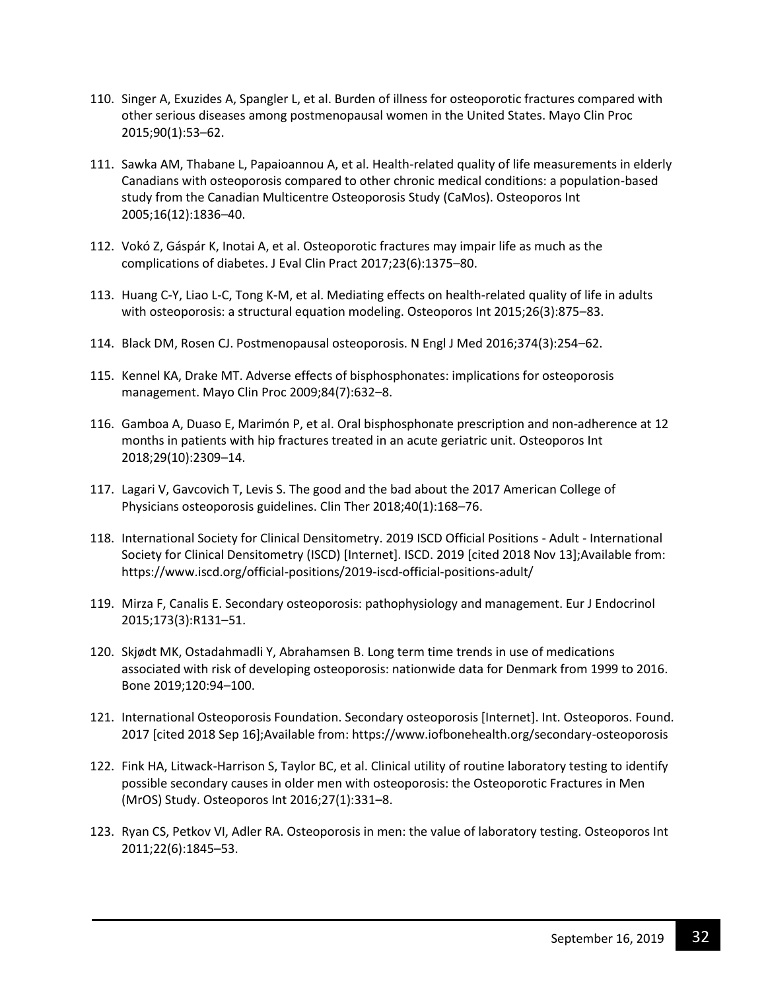- 110. Singer A, Exuzides A, Spangler L, et al. Burden of illness for osteoporotic fractures compared with other serious diseases among postmenopausal women in the United States. Mayo Clin Proc 2015;90(1):53–62.
- 111. Sawka AM, Thabane L, Papaioannou A, et al. Health-related quality of life measurements in elderly Canadians with osteoporosis compared to other chronic medical conditions: a population-based study from the Canadian Multicentre Osteoporosis Study (CaMos). Osteoporos Int 2005;16(12):1836–40.
- 112. Vokó Z, Gáspár K, Inotai A, et al. Osteoporotic fractures may impair life as much as the complications of diabetes. J Eval Clin Pract 2017;23(6):1375–80.
- 113. Huang C-Y, Liao L-C, Tong K-M, et al. Mediating effects on health-related quality of life in adults with osteoporosis: a structural equation modeling. Osteoporos Int 2015;26(3):875–83.
- 114. Black DM, Rosen CJ. Postmenopausal osteoporosis. N Engl J Med 2016;374(3):254–62.
- 115. Kennel KA, Drake MT. Adverse effects of bisphosphonates: implications for osteoporosis management. Mayo Clin Proc 2009;84(7):632–8.
- 116. Gamboa A, Duaso E, Marimón P, et al. Oral bisphosphonate prescription and non-adherence at 12 months in patients with hip fractures treated in an acute geriatric unit. Osteoporos Int 2018;29(10):2309–14.
- 117. Lagari V, Gavcovich T, Levis S. The good and the bad about the 2017 American College of Physicians osteoporosis guidelines. Clin Ther 2018;40(1):168–76.
- 118. International Society for Clinical Densitometry. 2019 ISCD Official Positions Adult International Society for Clinical Densitometry (ISCD) [Internet]. ISCD. 2019 [cited 2018 Nov 13];Available from: https://www.iscd.org/official-positions/2019-iscd-official-positions-adult/
- 119. Mirza F, Canalis E. Secondary osteoporosis: pathophysiology and management. Eur J Endocrinol 2015;173(3):R131–51.
- 120. Skjødt MK, Ostadahmadli Y, Abrahamsen B. Long term time trends in use of medications associated with risk of developing osteoporosis: nationwide data for Denmark from 1999 to 2016. Bone 2019;120:94–100.
- 121. International Osteoporosis Foundation. Secondary osteoporosis [Internet]. Int. Osteoporos. Found. 2017 [cited 2018 Sep 16];Available from: https://www.iofbonehealth.org/secondary-osteoporosis
- 122. Fink HA, Litwack-Harrison S, Taylor BC, et al. Clinical utility of routine laboratory testing to identify possible secondary causes in older men with osteoporosis: the Osteoporotic Fractures in Men (MrOS) Study. Osteoporos Int 2016;27(1):331–8.
- 123. Ryan CS, Petkov VI, Adler RA. Osteoporosis in men: the value of laboratory testing. Osteoporos Int 2011;22(6):1845–53.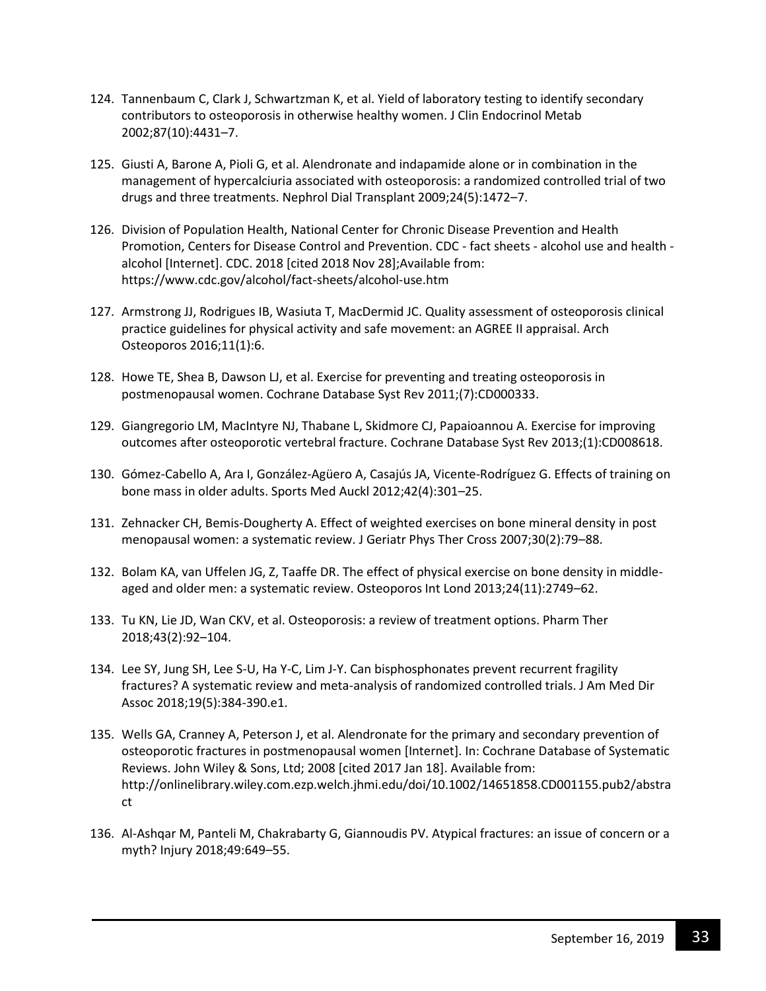- 124. Tannenbaum C, Clark J, Schwartzman K, et al. Yield of laboratory testing to identify secondary contributors to osteoporosis in otherwise healthy women. J Clin Endocrinol Metab 2002;87(10):4431–7.
- 125. Giusti A, Barone A, Pioli G, et al. Alendronate and indapamide alone or in combination in the management of hypercalciuria associated with osteoporosis: a randomized controlled trial of two drugs and three treatments. Nephrol Dial Transplant 2009;24(5):1472–7.
- 126. Division of Population Health, National Center for Chronic Disease Prevention and Health Promotion, Centers for Disease Control and Prevention. CDC - fact sheets - alcohol use and health alcohol [Internet]. CDC. 2018 [cited 2018 Nov 28];Available from: https://www.cdc.gov/alcohol/fact-sheets/alcohol-use.htm
- 127. Armstrong JJ, Rodrigues IB, Wasiuta T, MacDermid JC. Quality assessment of osteoporosis clinical practice guidelines for physical activity and safe movement: an AGREE II appraisal. Arch Osteoporos 2016;11(1):6.
- 128. Howe TE, Shea B, Dawson LJ, et al. Exercise for preventing and treating osteoporosis in postmenopausal women. Cochrane Database Syst Rev 2011;(7):CD000333.
- 129. Giangregorio LM, MacIntyre NJ, Thabane L, Skidmore CJ, Papaioannou A. Exercise for improving outcomes after osteoporotic vertebral fracture. Cochrane Database Syst Rev 2013;(1):CD008618.
- 130. Gómez-Cabello A, Ara I, González-Agüero A, Casajús JA, Vicente-Rodríguez G. Effects of training on bone mass in older adults. Sports Med Auckl 2012;42(4):301–25.
- 131. Zehnacker CH, Bemis-Dougherty A. Effect of weighted exercises on bone mineral density in post menopausal women: a systematic review. J Geriatr Phys Ther Cross 2007;30(2):79–88.
- 132. Bolam KA, van Uffelen JG, Z, Taaffe DR. The effect of physical exercise on bone density in middleaged and older men: a systematic review. Osteoporos Int Lond 2013;24(11):2749–62.
- 133. Tu KN, Lie JD, Wan CKV, et al. Osteoporosis: a review of treatment options. Pharm Ther 2018;43(2):92–104.
- 134. Lee SY, Jung SH, Lee S-U, Ha Y-C, Lim J-Y. Can bisphosphonates prevent recurrent fragility fractures? A systematic review and meta-analysis of randomized controlled trials. J Am Med Dir Assoc 2018;19(5):384-390.e1.
- 135. Wells GA, Cranney A, Peterson J, et al. Alendronate for the primary and secondary prevention of osteoporotic fractures in postmenopausal women [Internet]. In: Cochrane Database of Systematic Reviews. John Wiley & Sons, Ltd; 2008 [cited 2017 Jan 18]. Available from: http://onlinelibrary.wiley.com.ezp.welch.jhmi.edu/doi/10.1002/14651858.CD001155.pub2/abstra ct
- 136. Al-Ashqar M, Panteli M, Chakrabarty G, Giannoudis PV. Atypical fractures: an issue of concern or a myth? Injury 2018;49:649–55.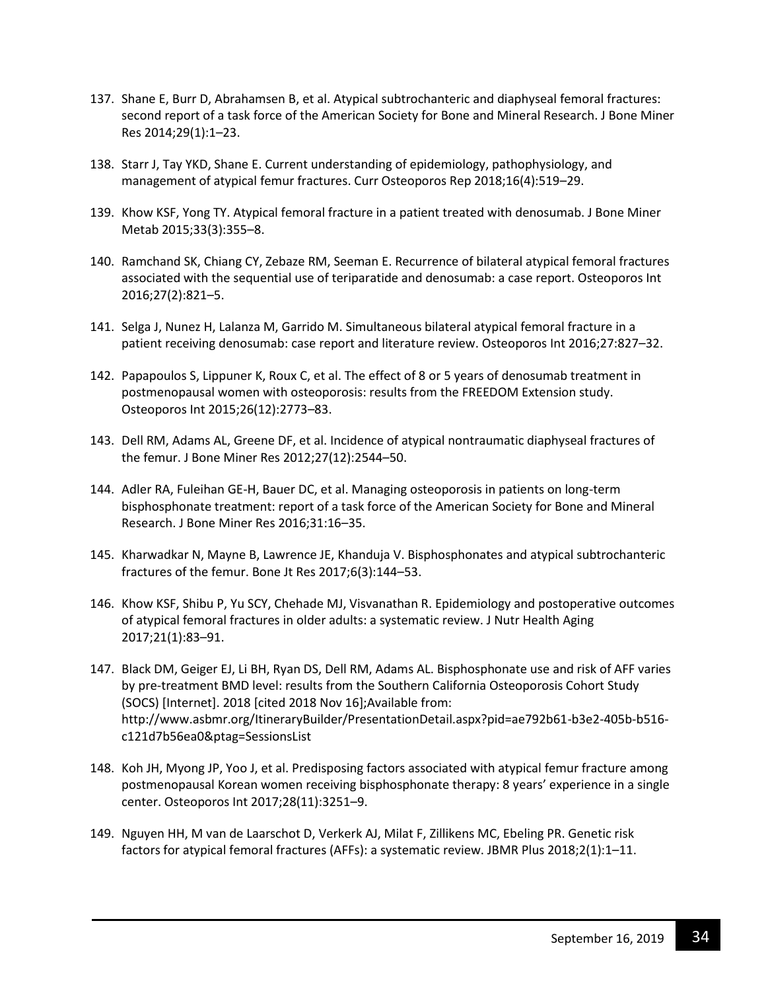- 137. Shane E, Burr D, Abrahamsen B, et al. Atypical subtrochanteric and diaphyseal femoral fractures: second report of a task force of the American Society for Bone and Mineral Research. J Bone Miner Res 2014;29(1):1–23.
- 138. Starr J, Tay YKD, Shane E. Current understanding of epidemiology, pathophysiology, and management of atypical femur fractures. Curr Osteoporos Rep 2018;16(4):519–29.
- 139. Khow KSF, Yong TY. Atypical femoral fracture in a patient treated with denosumab. J Bone Miner Metab 2015;33(3):355–8.
- 140. Ramchand SK, Chiang CY, Zebaze RM, Seeman E. Recurrence of bilateral atypical femoral fractures associated with the sequential use of teriparatide and denosumab: a case report. Osteoporos Int 2016;27(2):821–5.
- 141. Selga J, Nunez H, Lalanza M, Garrido M. Simultaneous bilateral atypical femoral fracture in a patient receiving denosumab: case report and literature review. Osteoporos Int 2016;27:827–32.
- 142. Papapoulos S, Lippuner K, Roux C, et al. The effect of 8 or 5 years of denosumab treatment in postmenopausal women with osteoporosis: results from the FREEDOM Extension study. Osteoporos Int 2015;26(12):2773–83.
- 143. Dell RM, Adams AL, Greene DF, et al. Incidence of atypical nontraumatic diaphyseal fractures of the femur. J Bone Miner Res 2012;27(12):2544–50.
- 144. Adler RA, Fuleihan GE-H, Bauer DC, et al. Managing osteoporosis in patients on long-term bisphosphonate treatment: report of a task force of the American Society for Bone and Mineral Research. J Bone Miner Res 2016;31:16–35.
- 145. Kharwadkar N, Mayne B, Lawrence JE, Khanduja V. Bisphosphonates and atypical subtrochanteric fractures of the femur. Bone Jt Res 2017;6(3):144–53.
- 146. Khow KSF, Shibu P, Yu SCY, Chehade MJ, Visvanathan R. Epidemiology and postoperative outcomes of atypical femoral fractures in older adults: a systematic review. J Nutr Health Aging 2017;21(1):83–91.
- 147. Black DM, Geiger EJ, Li BH, Ryan DS, Dell RM, Adams AL. Bisphosphonate use and risk of AFF varies by pre-treatment BMD level: results from the Southern California Osteoporosis Cohort Study (SOCS) [Internet]. 2018 [cited 2018 Nov 16];Available from: http://www.asbmr.org/ItineraryBuilder/PresentationDetail.aspx?pid=ae792b61-b3e2-405b-b516 c121d7b56ea0&ptag=SessionsList
- 148. Koh JH, Myong JP, Yoo J, et al. Predisposing factors associated with atypical femur fracture among postmenopausal Korean women receiving bisphosphonate therapy: 8 years' experience in a single center. Osteoporos Int 2017;28(11):3251–9.
- 149. Nguyen HH, M van de Laarschot D, Verkerk AJ, Milat F, Zillikens MC, Ebeling PR. Genetic risk factors for atypical femoral fractures (AFFs): a systematic review. JBMR Plus 2018;2(1):1–11.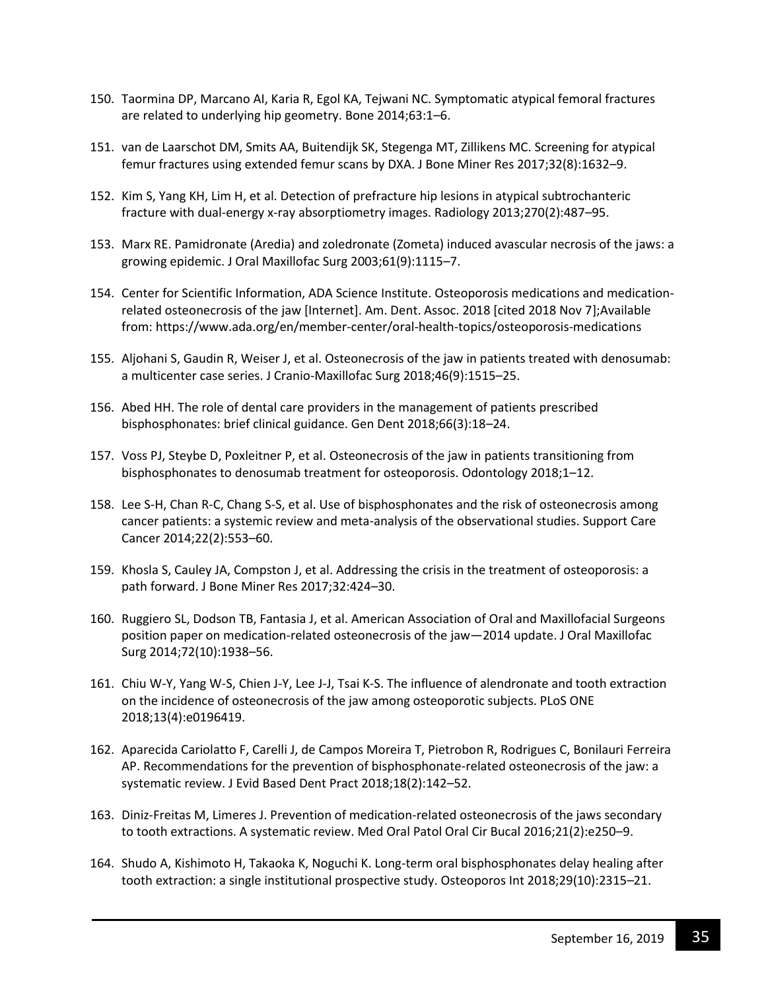- 150. Taormina DP, Marcano AI, Karia R, Egol KA, Tejwani NC. Symptomatic atypical femoral fractures are related to underlying hip geometry. Bone 2014;63:1–6.
- 151. van de Laarschot DM, Smits AA, Buitendijk SK, Stegenga MT, Zillikens MC. Screening for atypical femur fractures using extended femur scans by DXA. J Bone Miner Res 2017;32(8):1632–9.
- 152. Kim S, Yang KH, Lim H, et al. Detection of prefracture hip lesions in atypical subtrochanteric fracture with dual-energy x-ray absorptiometry images. Radiology 2013;270(2):487–95.
- 153. Marx RE. Pamidronate (Aredia) and zoledronate (Zometa) induced avascular necrosis of the jaws: a growing epidemic. J Oral Maxillofac Surg 2003;61(9):1115–7.
- 154. Center for Scientific Information, ADA Science Institute. Osteoporosis medications and medicationrelated osteonecrosis of the jaw [Internet]. Am. Dent. Assoc. 2018 [cited 2018 Nov 7];Available from: https://www.ada.org/en/member-center/oral-health-topics/osteoporosis-medications
- 155. Aljohani S, Gaudin R, Weiser J, et al. Osteonecrosis of the jaw in patients treated with denosumab: a multicenter case series. J Cranio-Maxillofac Surg 2018;46(9):1515–25.
- 156. Abed HH. The role of dental care providers in the management of patients prescribed bisphosphonates: brief clinical guidance. Gen Dent 2018;66(3):18–24.
- 157. Voss PJ, Steybe D, Poxleitner P, et al. Osteonecrosis of the jaw in patients transitioning from bisphosphonates to denosumab treatment for osteoporosis. Odontology 2018;1–12.
- 158. Lee S-H, Chan R-C, Chang S-S, et al. Use of bisphosphonates and the risk of osteonecrosis among cancer patients: a systemic review and meta-analysis of the observational studies. Support Care Cancer 2014;22(2):553–60.
- 159. Khosla S, Cauley JA, Compston J, et al. Addressing the crisis in the treatment of osteoporosis: a path forward. J Bone Miner Res 2017;32:424–30.
- 160. Ruggiero SL, Dodson TB, Fantasia J, et al. American Association of Oral and Maxillofacial Surgeons position paper on medication-related osteonecrosis of the jaw—2014 update. J Oral Maxillofac Surg 2014;72(10):1938–56.
- 161. Chiu W-Y, Yang W-S, Chien J-Y, Lee J-J, Tsai K-S. The influence of alendronate and tooth extraction on the incidence of osteonecrosis of the jaw among osteoporotic subjects. PLoS ONE 2018;13(4):e0196419.
- 162. Aparecida Cariolatto F, Carelli J, de Campos Moreira T, Pietrobon R, Rodrigues C, Bonilauri Ferreira AP. Recommendations for the prevention of bisphosphonate-related osteonecrosis of the jaw: a systematic review. J Evid Based Dent Pract 2018;18(2):142–52.
- 163. Diniz-Freitas M, Limeres J. Prevention of medication-related osteonecrosis of the jaws secondary to tooth extractions. A systematic review. Med Oral Patol Oral Cir Bucal 2016;21(2):e250–9.
- 164. Shudo A, Kishimoto H, Takaoka K, Noguchi K. Long-term oral bisphosphonates delay healing after tooth extraction: a single institutional prospective study. Osteoporos Int 2018;29(10):2315–21.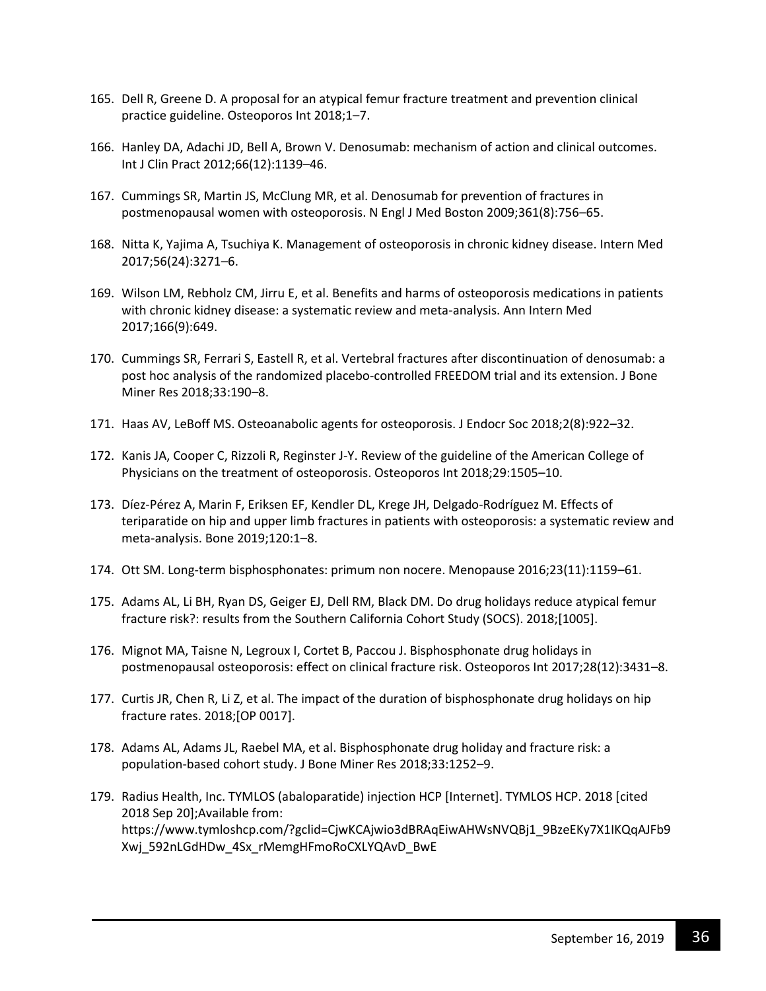- 165. Dell R, Greene D. A proposal for an atypical femur fracture treatment and prevention clinical practice guideline. Osteoporos Int 2018;1–7.
- 166. Hanley DA, Adachi JD, Bell A, Brown V. Denosumab: mechanism of action and clinical outcomes. Int J Clin Pract 2012;66(12):1139–46.
- 167. Cummings SR, Martin JS, McClung MR, et al. Denosumab for prevention of fractures in postmenopausal women with osteoporosis. N Engl J Med Boston 2009;361(8):756–65.
- 168. Nitta K, Yajima A, Tsuchiya K. Management of osteoporosis in chronic kidney disease. Intern Med 2017;56(24):3271–6.
- 169. Wilson LM, Rebholz CM, Jirru E, et al. Benefits and harms of osteoporosis medications in patients with chronic kidney disease: a systematic review and meta-analysis. Ann Intern Med 2017;166(9):649.
- 170. Cummings SR, Ferrari S, Eastell R, et al. Vertebral fractures after discontinuation of denosumab: a post hoc analysis of the randomized placebo-controlled FREEDOM trial and its extension. J Bone Miner Res 2018;33:190–8.
- 171. Haas AV, LeBoff MS. Osteoanabolic agents for osteoporosis. J Endocr Soc 2018;2(8):922–32.
- 172. Kanis JA, Cooper C, Rizzoli R, Reginster J-Y. Review of the guideline of the American College of Physicians on the treatment of osteoporosis. Osteoporos Int 2018;29:1505–10.
- 173. Díez-Pérez A, Marin F, Eriksen EF, Kendler DL, Krege JH, Delgado-Rodríguez M. Effects of teriparatide on hip and upper limb fractures in patients with osteoporosis: a systematic review and meta-analysis. Bone 2019;120:1–8.
- 174. Ott SM. Long-term bisphosphonates: primum non nocere. Menopause 2016;23(11):1159–61.
- 175. Adams AL, Li BH, Ryan DS, Geiger EJ, Dell RM, Black DM. Do drug holidays reduce atypical femur fracture risk?: results from the Southern California Cohort Study (SOCS). 2018;[1005].
- 176. Mignot MA, Taisne N, Legroux I, Cortet B, Paccou J. Bisphosphonate drug holidays in postmenopausal osteoporosis: effect on clinical fracture risk. Osteoporos Int 2017;28(12):3431–8.
- 177. Curtis JR, Chen R, Li Z, et al. The impact of the duration of bisphosphonate drug holidays on hip fracture rates. 2018;[OP 0017].
- 178. Adams AL, Adams JL, Raebel MA, et al. Bisphosphonate drug holiday and fracture risk: a population-based cohort study. J Bone Miner Res 2018;33:1252–9.
- 179. Radius Health, Inc. TYMLOS (abaloparatide) injection HCP [Internet]. TYMLOS HCP. 2018 [cited 2018 Sep 20];Available from: https://www.tymloshcp.com/?gclid=CjwKCAjwio3dBRAqEiwAHWsNVQBj1\_9BzeEKy7X1IKQqAJFb9 Xwj\_592nLGdHDw\_4Sx\_rMemgHFmoRoCXLYQAvD\_BwE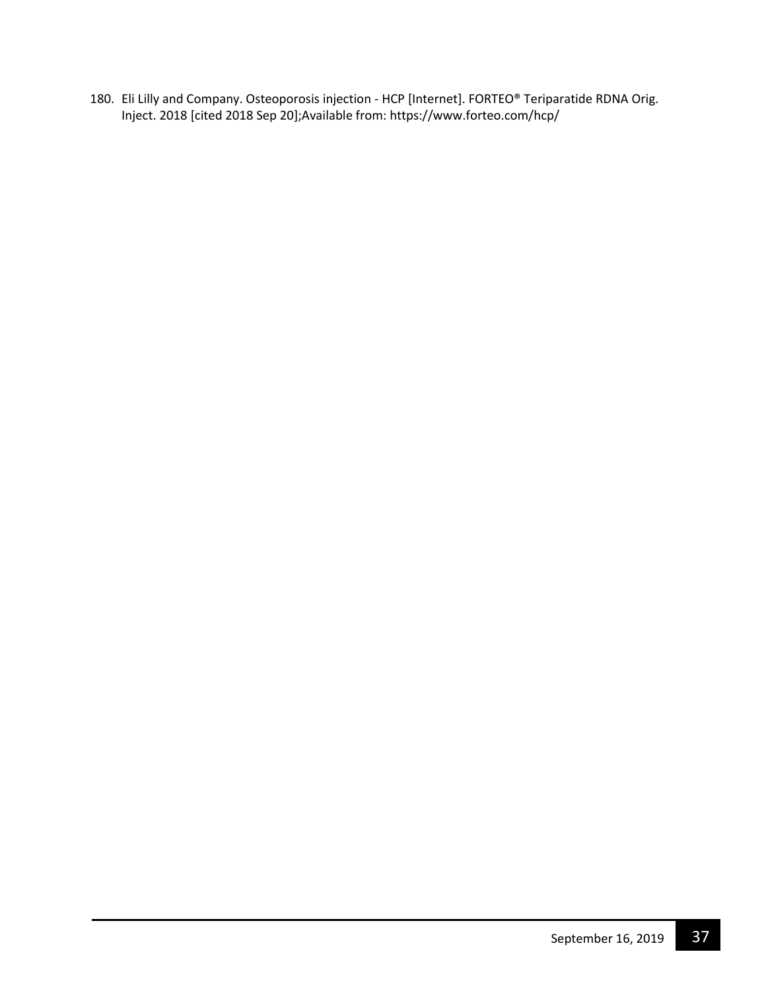180. Eli Lilly and Company. Osteoporosis injection - HCP [Internet]. FORTEO® Teriparatide RDNA Orig. Inject. 2018 [cited 2018 Sep 20];Available from: https://www.forteo.com/hcp/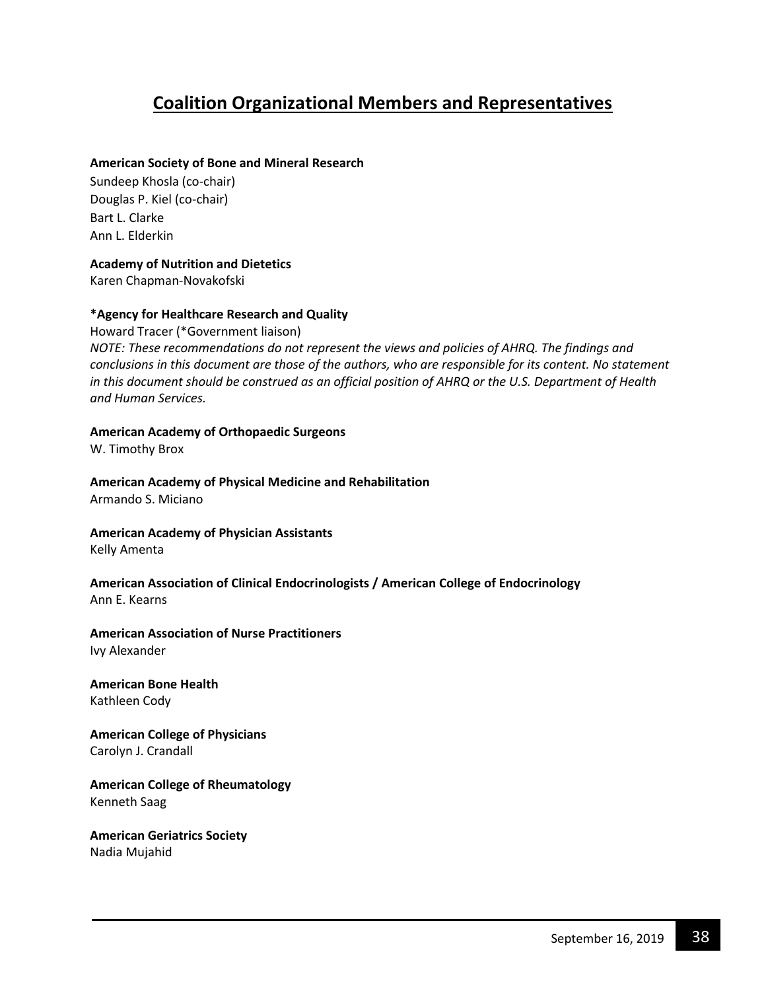# **Coalition Organizational Members and Representatives**

#### **American Society of Bone and Mineral Research**

Sundeep Khosla (co-chair) Douglas P. Kiel (co-chair) Bart L. Clarke Ann L. Elderkin

#### **Academy of Nutrition and Dietetics**

Karen Chapman-Novakofski

#### **\*Agency for Healthcare Research and Quality**

Howard Tracer (\*Government liaison) *NOTE: These recommendations do not represent the views and policies of AHRQ. The findings and conclusions in this document are those of the authors, who are responsible for its content. No statement in this document should be construed as an official position of AHRQ or the U.S. Department of Health and Human Services.*

#### **American Academy of Orthopaedic Surgeons**

W. Timothy Brox

#### **American Academy of Physical Medicine and Rehabilitation**  Armando S. Miciano

#### **American Academy of Physician Assistants** Kelly Amenta

#### **American Association of Clinical Endocrinologists / American College of Endocrinology** Ann E. Kearns

### **American Association of Nurse Practitioners**

Ivy Alexander

# **American Bone Health**

Kathleen Cody

#### **American College of Physicians** Carolyn J. Crandall

#### **American College of Rheumatology** Kenneth Saag

# **American Geriatrics Society**

Nadia Mujahid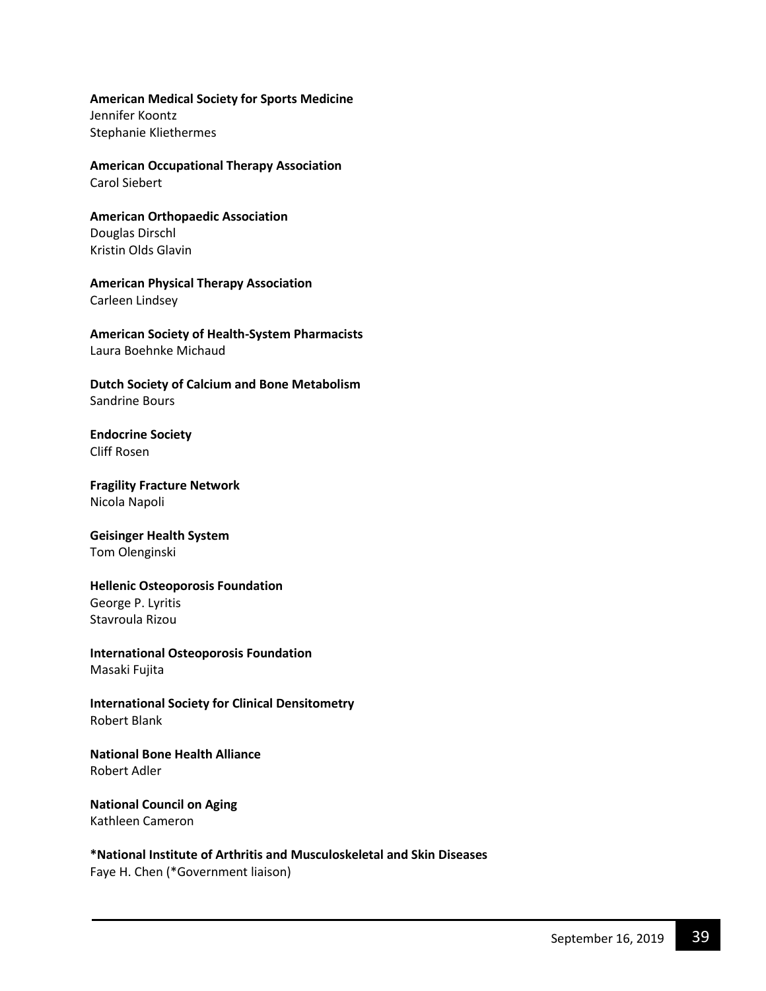#### **American Medical Society for Sports Medicine**

Jennifer Koontz Stephanie Kliethermes

#### **American Occupational Therapy Association** Carol Siebert

#### **American Orthopaedic Association** Douglas Dirschl Kristin Olds Glavin

# **American Physical Therapy Association**

Carleen Lindsey

#### **American Society of Health-System Pharmacists** Laura Boehnke Michaud

**Dutch Society of Calcium and Bone Metabolism** Sandrine Bours

#### **Endocrine Society** Cliff Rosen

**Fragility Fracture Network** Nicola Napoli

#### **Geisinger Health System** Tom Olenginski

#### **Hellenic Osteoporosis Foundation** George P. Lyritis Stavroula Rizou

**International Osteoporosis Foundation** Masaki Fujita

**International Society for Clinical Densitometry** Robert Blank

#### **National Bone Health Alliance**  Robert Adler

#### **National Council on Aging** Kathleen Cameron

# **\*National Institute of Arthritis and Musculoskeletal and Skin Diseases**

Faye H. Chen (\*Government liaison)